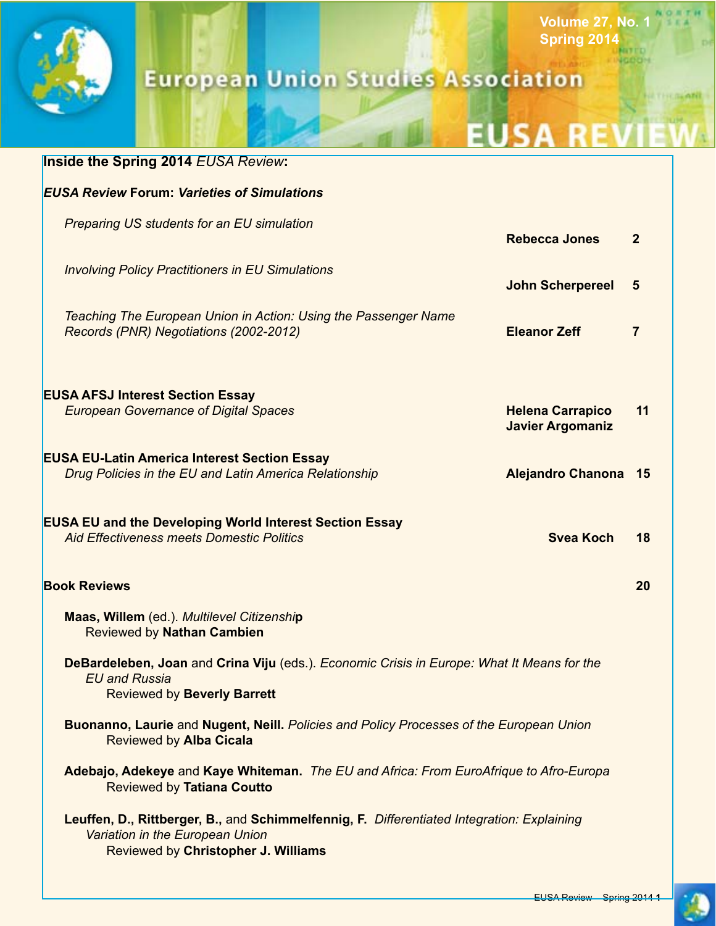

## **European Union Studies Association**

# **EUSA REV**

**Volume 27, No. 1 Spring 2014**

**IGODDI** 

| <b>Rebecca Jones</b>                               | $\mathbf{2}$                                                                                                                                                                                                                                                                                                                                                                  |
|----------------------------------------------------|-------------------------------------------------------------------------------------------------------------------------------------------------------------------------------------------------------------------------------------------------------------------------------------------------------------------------------------------------------------------------------|
| <b>John Scherpereel</b>                            | 5                                                                                                                                                                                                                                                                                                                                                                             |
| <b>Eleanor Zeff</b>                                | 7                                                                                                                                                                                                                                                                                                                                                                             |
| <b>Helena Carrapico</b><br><b>Javier Argomaniz</b> | 11                                                                                                                                                                                                                                                                                                                                                                            |
| <b>Alejandro Chanona</b>                           | 15                                                                                                                                                                                                                                                                                                                                                                            |
| <b>Svea Koch</b>                                   | 18                                                                                                                                                                                                                                                                                                                                                                            |
|                                                    | 20                                                                                                                                                                                                                                                                                                                                                                            |
|                                                    |                                                                                                                                                                                                                                                                                                                                                                               |
|                                                    |                                                                                                                                                                                                                                                                                                                                                                               |
|                                                    |                                                                                                                                                                                                                                                                                                                                                                               |
|                                                    |                                                                                                                                                                                                                                                                                                                                                                               |
|                                                    |                                                                                                                                                                                                                                                                                                                                                                               |
|                                                    | DeBardeleben, Joan and Crina Viju (eds.). Economic Crisis in Europe: What It Means for the<br>Buonanno, Laurie and Nugent, Neill. Policies and Policy Processes of the European Union<br>Adebajo, Adekeye and Kaye Whiteman. The EU and Africa: From EuroAfrique to Afro-Europa<br>Leuffen, D., Rittberger, B., and Schimmelfennig, F. Differentiated Integration: Explaining |

A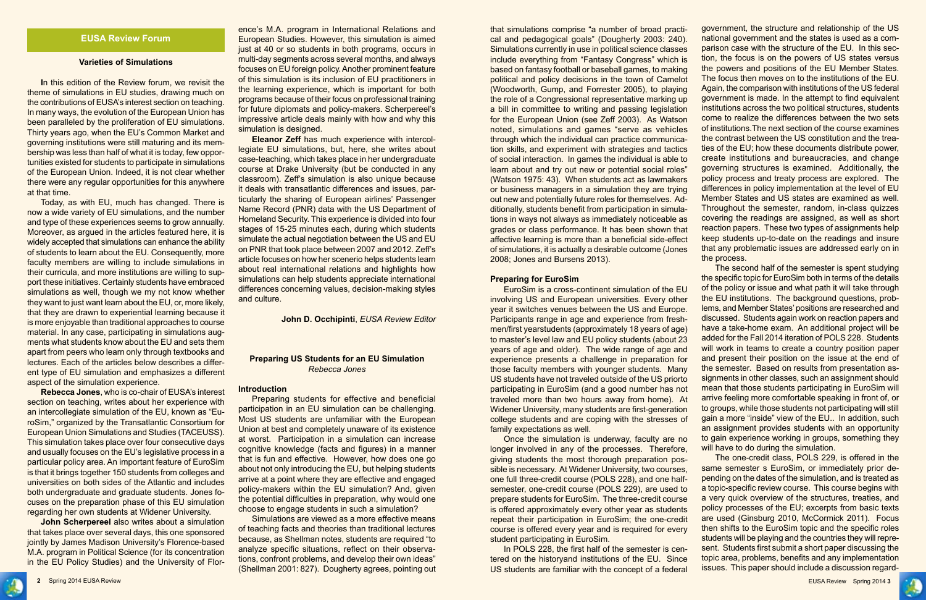

#### **Varieties of Simulations**

**I**n this edition of the Review forum, we revisit the theme of simulations in EU studies, drawing much on the contributions of EUSA's interest section on teaching. In many ways, the evolution of the European Union has been paralleled by the proliferation of EU simulations. Thirty years ago, when the EU's Common Market and governing institutions were still maturing and its membership was less than half of what it is today, few opportunities existed for students to participate in simulations of the European Union. Indeed, it is not clear whether there were any regular opportunities for this anywhere at that time.

Today, as with EU, much has changed. There is now a wide variety of EU simulations, and the number and type of these experiences seems to grow annually. Moreover, as argued in the articles featured here, it is widely accepted that simulations can enhance the ability of students to learn about the EU. Consequently, more faculty members are willing to include simulations in their curricula, and more institutions are willing to support these initiatives. Certainly students have embraced simulations as well, though we my not know whether they want to just want learn about the EU, or, more likely, that they are drawn to experiential learning because it is more enjoyable than traditional approaches to course material. In any case, participating in simulations augments what students know about the EU and sets them apart from peers who learn only through textbooks and lectures. Each of the articles below describes a different type of EU simulation and emphasizes a different aspect of the simulation experience.

**Rebecca Jones**, who is co-chair of EUSA's interest section on teaching, writes about her experience with an intercollegiate simulation of the EU, known as "EuroSim," organized by the Transatlantic Consortium for European Union Simulations and Studies (TACEUSS). This simulation takes place over four consecutive days and usually focuses on the EU's legislative process in a particular policy area. An important feature of EuroSim is that it brings together 150 students from colleges and universities on both sides of the Atlantic and includes both undergraduate and graduate students. Jones focuses on the preparation phase of this EU simulation regarding her own students at Widener University.

**John Scherpereel** also writes about a simulation that takes place over several days, this one sponsored jointly by James Madison University's Florence-based M.A. program in Political Science (for its concentration in the EU Policy Studies) and the University of Florence's M.A. program in International Relations and European Studies. However, this simulation is aimed just at 40 or so students in both programs, occurs in multi-day segments across several months, and always focuses on EU foreign policy. Another prominent feature of this simulation is its inclusion of EU practitioners in the learning experience, which is important for both programs because of their focus on professional training for future diplomats and policy-makers. Scherpereel's impressive article deals mainly with how and why this simulation is designed.

> **Preparing for EuroSim** EuroSim is a cross-continent simulation of the EU involving US and European universities. Every other year it switches venues between the US and Europe. Participants range in age and experience from freshmen/first yearstudents (approximately 18 years of age) to master's level law and EU policy students (about 23 years of age and older). The wide range of age and experience presents a challenge in preparation for those faculty members with younger students. Many US students have not traveled outside of the US priorto participating in EuroSim (and a good number has not traveled more than two hours away from home). At Widener University, many students are first-generation college students and are coping with the stresses of family expectations as well. Once the simulation is underway, faculty are no The second half of the semester is spent studying the specific topic for EuroSim both in terms of the details of the policy or issue and what path it will take through the EU institutions. The background questions, problems, and Member States' positions are researched and discussed. Students again work on reaction papers and have a take-home exam. An additional project will be added for the Fall 2014 iteration of POLS 228. Students will work in teams to create a country position paper and present their position on the issue at the end of the semester. Based on results from presentation assignments in other classes, such an assignment should mean that those students participating in EuroSim will arrive feeling more comfortable speaking in front of, or to groups, while those students not participating will still gain a more "inside" view of the EU.. In addition, such an assignment provides students with an opportunity to gain experience working in groups, something they will have to do during the simulation.

**Eleanor Zeff** has much experience with intercollegiate EU simulations, but, here, she writes about case-teaching, which takes place in her undergraduate course at Drake University (but be conducted in any classroom). Zeff's simulation is also unique because it deals with transatlantic differences and issues, particularly the sharing of European airlines' Passenger Name Record (PNR) data with the US Department of Homeland Security. This experience is divided into four stages of 15-25 minutes each, during which students simulate the actual negotiation between the US and EU on PNR that took place between 2007 and 2012. Zeff's article focuses on how her scenerio helps students learn about real international relations and highlights how simulations can help students appreciate international differences concerning values, decision-making styles and culture.

**John D. Occhipinti**, *EUSA Review Editor*

#### **Preparing US Students for an EU Simulation** *Rebecca Jones*

#### **Introduction**

Preparing students for effective and beneficial participation in an EU simulation can be challenging. Most US students are unfamiliar with the European Union at best and completely unaware of its existence at worst. Participation in a simulation can increase cognitive knowledge (facts and figures) in a manner that is fun and effective. However, how does one go about not only introducing the EU, but helping students arrive at a point where they are effective and engaged policy-makers within the EU simulation? And, given the potential difficulties in preparation, why would one choose to engage students in such a simulation?

Simulations are viewed as a more effective means of teaching facts and theories than traditional lectures because, as Shellman notes, students are required "to analyze specific situations, reflect on their observations, confront problems, and develop their own ideas" (Shellman 2001: 827). Dougherty agrees, pointing out

that simulations comprise "a number of broad practical and pedagogical goals" (Dougherty 2003: 240). Simulations currently in use in political science classes include everything from "Fantasy Congress" which is based on fantasy football or baseball games, to making political and policy decisions in the town of Camelot (Woodworth, Gump, and Forrester 2005), to playing the role of a Congressional representative marking up a bill in committee to writing and passing legislation for the European Union (see Zeff 2003). As Watson noted, simulations and games "serve as vehicles through which the individual can practice communication skills, and experiment with strategies and tactics of social interaction. In games the individual is able to learn about and try out new or potential social roles" (Watson 1975: 43). When students act as lawmakers or business managers in a simulation they are trying out new and potentially future roles for themselves. Additionally, students benefit from participation in simulations in ways not always as immediately noticeable as grades or class performance. It has been shown that affective learning is more than a beneficial side-effect of simulations, it is actually a desirable outcome (Jones 2008; Jones and Bursens 2013). government, the structure and relationship of the US national government and the states is used as a comparison case with the structure of the EU. In this section, the focus is on the powers of US states versus the powers and positions of the EU Member States. The focus then moves on to the institutions of the EU. Again, the comparison with institutions of the US federal government is made. In the attempt to find equivalent institutions across the two political structures, students come to realize the differences between the two sets of institutions.The next section of the course examines the contrast between the US constitution and the treaties of the EU; how these documents distribute power, create institutions and bureaucracies, and change governing structures is examined. Additionally, the policy process and treaty process are explored. The differences in policy implementation at the level of EU Member States and US states are examined as well. Throughout the semester, random, in-class quizzes covering the readings are assigned, as well as short reaction papers. These two types of assignments help keep students up-to-date on the readings and insure that any problematic issues are addressed early on in the process.

longer involved in any of the processes. Therefore, giving students the most thorough preparation possible is necessary. At Widener University, two courses, one full three-credit course (POLS 228), and one halfsemester, one-credit course (POLS 229), are used to prepare students for EuroSim. The three-credit course is offered approximately every other year as students repeat their participation in EuroSim; the one-credit course is offered every year and is required for every student participating in EuroSim. In POLS 228, the first half of the semester is centered on the historyand institutions of the EU. Since US students are familiar with the concept of a federal The one-credit class, POLS 229, is offered in the same semester s EuroSim, or immediately prior depending on the dates of the simulation, and is treated as a topic-specific review course. This course begins with a very quick overview of the structures, treaties, and policy processes of the EU; excerpts from basic texts are used (Ginsburg 2010, McCormick 2011). Focus then shifts to the EuroSim topic and the specific roles students will be playing and the countries they will represent. Students first submit a short paper discussing the topic area, problems, benefits and any implementation issues. This paper should include a discussion regard-

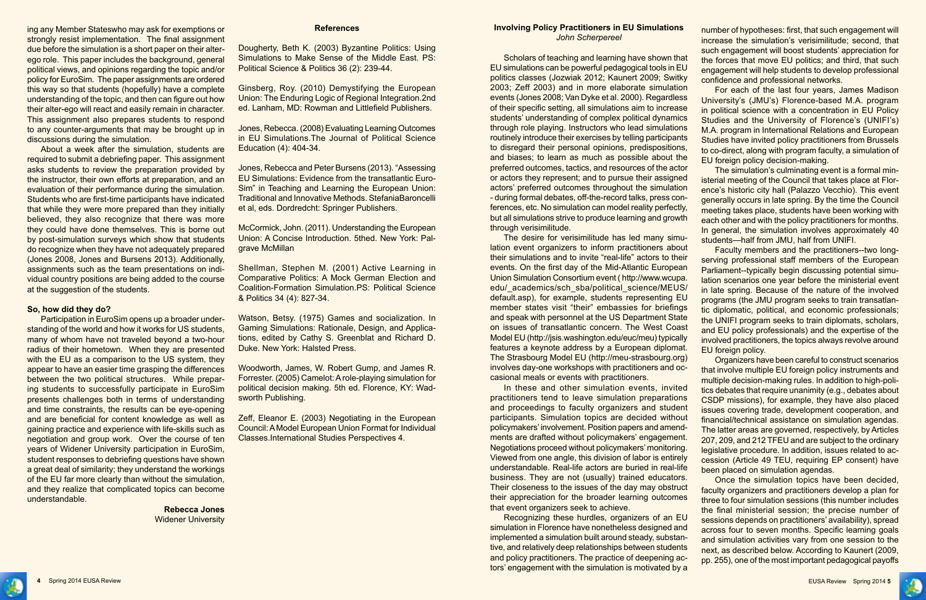

ing any Member Stateswho may ask for exemptions or strongly resist implementation. The final assignment due before the simulation is a short paper on their alterego role. This paper includes the background, general political views, and opinions regarding the topic and/or policy for EuroSim. The paper assignments are ordered this way so that students (hopefully) have a complete understanding of the topic, and then can figure out how their alter-ego will react and easily remain in character. This assignment also prepares students to respond to any counter-arguments that may be brought up in discussions during the simulation.

About a week after the simulation, students are required to submit a debriefing paper. This assignment asks students to review the preparation provided by the instructor, their own efforts at preparation, and an evaluation of their performance during the simulation. Students who are first-time participants have indicated that while they were more prepared than they initially believed, they also recognize that there was more they could have done themselves. This is borne out by post-simulation surveys which show that students do recognize when they have not adequately prepared (Jones 2008, Jones and Bursens 2013). Additionally, assignments such as the team presentations on individual country positions are being added to the course at the suggestion of the students.

#### **So, how did they do?**

Participation in EuroSim opens up a broader understanding of the world and how it works for US students, many of whom have not traveled beyond a two-hour radius of their hometown. When they are presented with the EU as a comparison to the US system, they appear to have an easier time grasping the differences between the two political structures. While preparing students to successfully participate in EuroSim presents challenges both in terms of understanding and time constraints, the results can be eye-opening and are beneficial for content knowledge as well as gaining practice and experience with life-skills such as negotiation and group work. Over the course of ten years of Widener University participation in EuroSim, student responses to debriefing questions have shown a great deal of similarity; they understand the workings of the EU far more clearly than without the simulation, and they realize that complicated topics can become understandable.

> **Rebecca Jones** Widener University

#### **References**

Dougherty, Beth K. (2003) Byzantine Politics: Using Simulations to Make Sense of the Middle East. PS: Political Science & Politics 36 (2): 239-44.

Ginsberg, Roy. (2010) Demystifying the European Union: The Enduring Logic of Regional Integration.2nd ed. Lanham, MD: Rowman and Littlefield Publishers.

Jones, Rebecca. (2008) Evaluating Learning Outcomes in EU Simulations.The Journal of Political Science Education (4): 404-34.

Jones, Rebecca and Peter Bursens (2013). "Assessing EU Simulations: Evidence from the transatlantic Euro-Sim" in Teaching and Learning the European Union: Traditional and Innovative Methods. StefaniaBaroncelli et al, eds. Dordredcht: Springer Publishers.

McCormick, John. (2011). Understanding the European Union: A Concise Introduction. 5thed. New York: Palgrave McMillan

Shellman, Stephen M. (2001) Active Learning in Comparative Politics: A Mock German Election and Coalition-Formation Simulation.PS: Political Science & Politics 34 (4): 827-34.

Watson, Betsy. (1975) Games and socialization. In Gaming Simulations: Rationale, Design, and Applications, edited by Cathy S. Greenblat and Richard D. Duke. New York: Halsted Press.

Woodworth, James, W. Robert Gump, and James R. Forrester. (2005) Camelot: A role-playing simulation for political decision making. 5th ed. Florence, KY: Wadsworth Publishing.

Zeff, Eleanor E. (2003) Negotiating in the European Council: A Model European Union Format for Individual Classes.International Studies Perspectives 4.

#### **Involving Policy Practitioners in EU Simulations** *John Scherpereel*

Scholars of teaching and learning have shown that EU simulations can be powerful pedagogical tools in EU politics classes (Jozwiak 2012; Kaunert 2009; Switky 2003; Zeff 2003) and in more elaborate simulation events (Jones 2008; Van Dyke et al. 2000). Regardless of their specific setting, all simulations aim to increase students' understanding of complex political dynamics through role playing. Instructors who lead simulations routinely introduce their exercises by telling participants to disregard their personal opinions, predispositions, and biases; to learn as much as possible about the preferred outcomes, tactics, and resources of the actor or actors they represent; and to pursue their assigned actors' preferred outcomes throughout the simulation - during formal debates, off-the-record talks, press conferences, etc. No simulation can model reality perfectly, but all simulations strive to produce learning and growth through verisimilitude. The desire for verisimilitude has led many simuthe forces that move EU politics; and third, that such engagement will help students to develop professional confidence and professional networks. For each of the last four years, James Madison University's (JMU's) Florence-based M.A. program in political science with a concentration in EU Policy Studies and the University of Florence's (UNIFI's) M.A. program in International Relations and European Studies have invited policy practitioners from Brussels to co-direct, along with program faculty, a simulation of EU foreign policy decision-making. The simulation's culminating event is a formal ministerial meeting of the Council that takes place at Florence's historic city hall (Palazzo Vecchio). This event generally occurs in late spring. By the time the Council meeting takes place, students have been working with each other and with the policy practitioners for months. In general, the simulation involves approximately 40 students—half from JMU, half from UNIFI.

lation event organizers to inform practitioners about their simulations and to invite "real-life" actors to their events. On the first day of the Mid-Atlantic European Union Simulation Consortium event ( http://www.wcupa. edu/ academics/sch\_sba/political\_science/MEUS/ default.asp), for example, students representing EU member states visit "their" embassies for briefings and speak with personnel at the US Department State on issues of transatlantic concern. The West Coast Model EU (http://jsis.washington.edu/euc/meu) typically features a keynote address by a European diplomat. The Strasbourg Model EU (http://meu-strasbourg.org) Faculty members and the practitioners--two longserving professional staff members of the European Parliament--typically begin discussing potential simulation scenarios one year before the ministerial event in late spring. Because of the nature of the involved programs (the JMU program seeks to train transatlantic diplomatic, political, and economic professionals; the UNIFI program seeks to train diplomats, scholars, and EU policy professionals) and the expertise of the involved practitioners, the topics always revolve around EU foreign policy. Organizers have been careful to construct scenarios that involve multiple EU foreign policy instruments and

number of hypotheses: first, that such engagement will increase the simulation's verisimilitude; second, that such engagement will boost students' appreciation for

involves day-one workshops with practitioners and occasional meals or events with practitioners. In these and other simulation events, invited practitioners tend to leave simulation preparations and proceedings to faculty organizers and student participants. Simulation topics are decided without policymakers' involvement. Position papers and amendments are drafted without policymakers' engagement. Negotiations proceed without policymakers' monitoring. Viewed from one angle, this division of labor is entirely understandable. Real-life actors are buried in real-life business. They are not (usually) trained educators. Their closeness to the issues of the day may obstruct their appreciation for the broader learning outcomes that event organizers seek to achieve. multiple decision-making rules. In addition to high-politics debates that require unanimity (e.g., debates about CSDP missions), for example, they have also placed issues covering trade, development cooperation, and financial/technical assistance on simulation agendas. The latter areas are governed, respectively, by Articles 207, 209, and 212 TFEU and are subject to the ordinary legislative procedure. In addition, issues related to accession (Article 49 TEU, requiring EP consent) have been placed on simulation agendas. Once the simulation topics have been decided, faculty organizers and practitioners develop a plan for three to four simulation sessions (this number includes

Recognizing these hurdles, organizers of an EU simulation in Florence have nonetheless designed and implemented a simulation built around steady, substantive, and relatively deep relationships between students and policy practitioners. The practice of deepening actors' engagement with the simulation is motivated by a the final ministerial session; the precise number of sessions depends on practitioners' availability), spread across four to seven months. Specific learning goals and simulation activities vary from one session to the next, as described below. According to Kaunert (2009, pp. 255), one of the most important pedagogical payoffs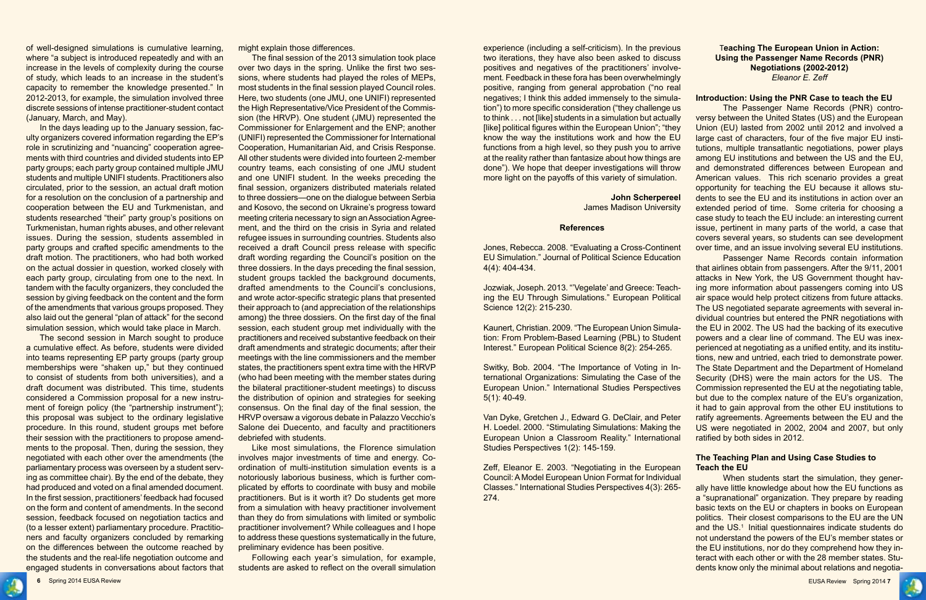

of well-designed simulations is cumulative learning, where "a subject is introduced repeatedly and with an increase in the levels of complexity during the course of study, which leads to an increase in the student's capacity to remember the knowledge presented." In 2012-2013, for example, the simulation involved three discrete sessions of intense practitioner-student contact (January, March, and May).

In the days leading up to the January session, faculty organizers covered information regarding the EP's role in scrutinizing and "nuancing" cooperation agreements with third countries and divided students into EP party groups; each party group contained multiple JMU students and multiple UNIFI students. Practitioners also circulated, prior to the session, an actual draft motion for a resolution on the conclusion of a partnership and cooperation between the EU and Turkmenistan, and students researched "their" party group's positions on Turkmenistan, human rights abuses, and other relevant issues. During the session, students assembled in party groups and crafted specific amendments to the draft motion. The practitioners, who had both worked on the actual dossier in question, worked closely with each party group, circulating from one to the next. In tandem with the faculty organizers, they concluded the session by giving feedback on the content and the form of the amendments that various groups proposed. They also laid out the general "plan of attack" for the second simulation session, which would take place in March.

The second session in March sought to produce a cumulative effect. As before, students were divided into teams representing EP party groups (party group memberships were "shaken up," but they continued to consist of students from both universities), and a draft document was distributed. This time, students considered a Commission proposal for a new instrument of foreign policy (the "partnership instrument"); this proposal was subject to the ordinary legislative procedure. In this round, student groups met before their session with the practitioners to propose amendments to the proposal. Then, during the session, they negotiated with each other over the amendments (the parliamentary process was overseen by a student serving as committee chair). By the end of the debate, they had produced and voted on a final amended document. In the first session, practitioners' feedback had focused on the form and content of amendments. In the second session, feedback focused on negotiation tactics and (to a lesser extent) parliamentary procedure. Practitioners and faculty organizers concluded by remarking on the differences between the outcome reached by the students and the real-life negotiation outcome and engaged students in conversations about factors that

might explain those differences.

The final session of the 2013 simulation took place over two days in the spring. Unlike the first two sessions, where students had played the roles of MEPs, most students in the final session played Council roles. Here, two students (one JMU, one UNIFI) represented the High Representative/Vice President of the Commission (the HRVP). One student (JMU) represented the Commissioner for Enlargement and the ENP; another (UNIFI) represented the Commissioner for International Cooperation, Humanitarian Aid, and Crisis Response. All other students were divided into fourteen 2-member country teams, each consisting of one JMU student and one UNIFI student. In the weeks preceding the final session, organizers distributed materials related to three dossiers—one on the dialogue between Serbia and Kosovo, the second on Ukraine's progress toward meeting criteria necessary to sign an Association Agreement, and the third on the crisis in Syria and related refugee issues in surrounding countries. Students also received a draft Council press release with specific draft wording regarding the Council's position on the three dossiers. In the days preceding the final session, student groups tackled the background documents, drafted amendments to the Council's conclusions, and wrote actor-specific strategic plans that presented their approach to (and appreciation of the relationships among) the three dossiers. On the first day of the final session, each student group met individually with the practitioners and received substantive feedback on their draft amendments and strategic documents; after their meetings with the line commissioners and the member states, the practitioners spent extra time with the HRVP (who had been meeting with the member states during the bilateral practitioner-student meetings) to discuss the distribution of opinion and strategies for seeking consensus. On the final day of the final session, the HRVP oversaw a vigorous debate in Palazzo Vecchio's Salone dei Duecento, and faculty and practitioners debriefed with students.

Like most simulations, the Florence simulation involves major investments of time and energy. Coordination of multi-institution simulation events is a notoriously laborious business, which is further complicated by efforts to coordinate with busy and mobile practitioners. But is it worth it? Do students get more from a simulation with heavy practitioner involvement than they do from simulations with limited or symbolic practitioner involvement? While colleagues and I hope to address these questions systematically in the future, preliminary evidence has been positive.

Following each year's simulation, for example, students are asked to reflect on the overall simulation

experience (including a self-criticism). In the previous two iterations, they have also been asked to discuss positives and negatives of the practitioners' involvement. Feedback in these fora has been overwhelmingly positive, ranging from general approbation ("no real negatives; I think this added immensely to the simulation") to more specific consideration ("they challenge us to think . . . not [like] students in a simulation but actually [like] political figures within the European Union"; "they know the way the institutions work and how the EU functions from a high level, so they push you to arrive at the reality rather than fantasize about how things are done"). We hope that deeper investigations will throw more light on the payoffs of this variety of simulation.

#### **John Scherpereel** James Madison University

#### **References**

Jones, Rebecca. 2008. "Evaluating a Cross-Continent EU Simulation." Journal of Political Science Education 4(4): 404-434.

Jozwiak, Joseph. 2013. "'Vegelate' and Greece: Teaching the EU Through Simulations." European Political Science 12(2): 215-230.

Kaunert, Christian. 2009. "The European Union Simulation: From Problem-Based Learning (PBL) to Student Interest." European Political Science 8(2): 254-265.

Switky, Bob. 2004. "The Importance of Voting in International Organizations: Simulating the Case of the European Union." International Studies Perspectives 5(1): 40-49.

Van Dyke, Gretchen J., Edward G. DeClair, and Peter H. Loedel. 2000. "Stimulating Simulations: Making the European Union a Classroom Reality." International Studies Perspectives 1(2): 145-159.

Zeff, Eleanor E. 2003. "Negotiating in the European Council: A Model European Union Format for Individual Classes." International Studies Perspectives 4(3): 265- 274.

#### T**eaching The European Union in Action: Using the Passenger Name Records (PNR) Negotiations (2002-2012)** *Eleanor E. Zeff*

#### **Introduction: Using the PNR Case to teach the EU**

The Passenger Name Records (PNR) controversy between the United States (US) and the European Union (EU) lasted from 2002 until 2012 and involved a large cast of characters, four of the five major EU institutions, multiple transatlantic negotiations, power plays among EU institutions and between the US and the EU, and demonstrated differences between European and American values. This rich scenario provides a great opportunity for teaching the EU because it allows students to see the EU and its institutions in action over an extended period of time. Some criteria for choosing a case study to teach the EU include: an interesting current issue, pertinent in many parts of the world, a case that covers several years, so students can see development over time, and an issue involving several EU institutions.

Passenger Name Records contain information that airlines obtain from passengers. After the 9/11, 2001 attacks in New York, the US Government thought having more information about passengers coming into US air space would help protect citizens from future attacks. The US negotiated separate agreements with several individual countries but entered the PNR negotiations with the EU in 2002. The US had the backing of its executive powers and a clear line of command. The EU was inexperienced at negotiating as a unified entity, and its institutions, new and untried, each tried to demonstrate power. The State Department and the Department of Homeland Security (DHS) were the main actors for the US. The Commission represented the EU at the negotiating table, but due to the complex nature of the EU's organization, it had to gain approval from the other EU institutions to ratify agreements. Agreements between the EU and the US were negotiated in 2002, 2004 and 2007, but only ratified by both sides in 2012.

#### **The Teaching Plan and Using Case Studies to Teach the EU**

When students start the simulation, they generally have little knowledge about how the EU functions as a "supranational" organization. They prepare by reading basic texts on the EU or chapters in books on European politics. Their closest comparisons to the EU are the UN and the US.<sup>1</sup> Initial questionnaires indicate students do not understand the powers of the EU's member states or the EU institutions, nor do they comprehend how they interact with each other or with the 28 member states. Students know only the minimal about relations and negotia-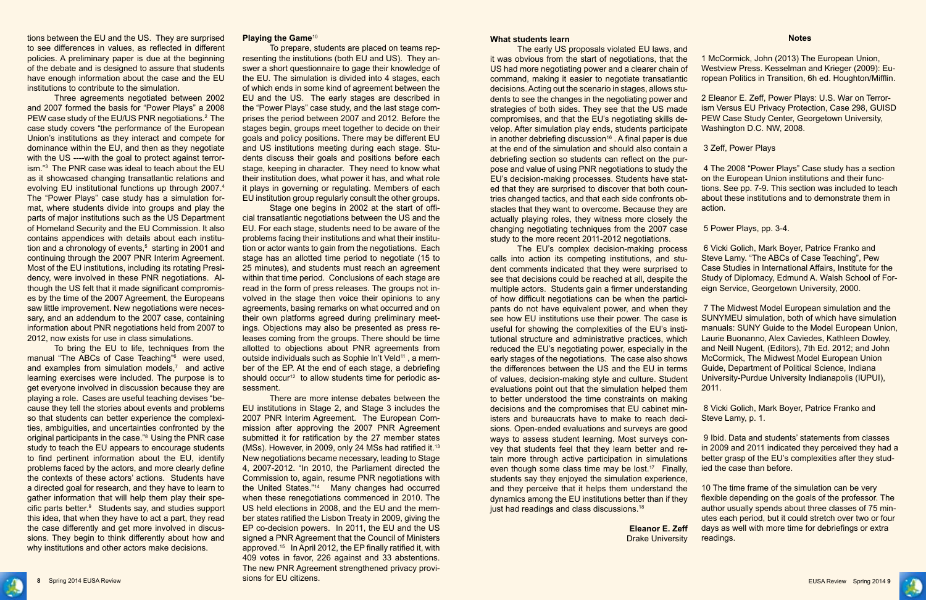tions between the EU and the US. They are surprised to see differences in values, as reflected in different policies. A preliminary paper is due at the beginning of the debate and is designed to assure that students have enough information about the case and the EU institutions to contribute to the simulation.

To bring the EU to life, techniques from the manual "The ABCs of Case Teaching"<sup>6</sup> were used, and examples from simulation models, $<sup>7</sup>$  and active</sup> learning exercises were included. The purpose is to get everyone involved in discussion because they are playing a role. Cases are useful teaching devises "because they tell the stories about events and problems so that students can better experience the complexities, ambiguities, and uncertainties confronted by the original participants in the case."8 Using the PNR case study to teach the EU appears to encourage students to find pertinent information about the EU, identify problems faced by the actors, and more clearly define the contexts of these actors' actions. Students have a directed goal for research, and they have to learn to gather information that will help them play their specific parts better.<sup>9</sup> Students say, and studies support this idea, that when they have to act a part, they read the case differently and get more involved in discussions. They begin to think differently about how and why institutions and other actors make decisions.

Three agreements negotiated between 2002 and 2007 formed the basis for "Power Plays" a 2008 PEW case study of the EU/US PNR negotiations.2 The case study covers "the performance of the European Union's institutions as they interact and compete for dominance within the EU, and then as they negotiate with the US ----with the goal to protect against terrorism."3 The PNR case was ideal to teach about the EU as it showcased changing transatlantic relations and evolving EU institutional functions up through 2007.4 The "Power Plays" case study has a simulation format, where students divide into groups and play the parts of major institutions such as the US Department of Homeland Security and the EU Commission. It also contains appendices with details about each institution and a chronology of events,<sup>5</sup> starting in 2001 and continuing through the 2007 PNR Interim Agreement. Most of the EU institutions, including its rotating Presidency, were involved in these PNR negotiations. Although the US felt that it made significant compromises by the time of the 2007 Agreement, the Europeans saw little improvement. New negotiations were necessary, and an addendum to the 2007 case, containing information about PNR negotiations held from 2007 to 2012, now exists for use in class simulations.

**8** Spring 2014 EUSA Review EUSA Review Spring 2014 **9** There are more intense debates between the EU institutions in Stage 2, and Stage 3 includes the 2007 PNR Interim Agreement. The European Commission after approving the 2007 PNR Agreement submitted it for ratification by the 27 member states (MSs). However, in 2009, only 24 MSs had ratified it.<sup>13</sup> New negotiations became necessary, leading to Stage 4, 2007-2012. "In 2010, the Parliament directed the Commission to, again, resume PNR negotiations with the United States."14 Many changes had occurred when these renegotiations commenced in 2010. The US held elections in 2008, and the EU and the member states ratified the Lisbon Treaty in 2009, giving the EP co-decision powers. In 2011, the EU and the US signed a PNR Agreement that the Council of Ministers approved.15 In April 2012, the EP finally ratified it, with 409 votes in favor, 226 against and 33 abstentions. The new PNR Agreement strengthened privacy provisions for EU citizens.

#### **Playing the Game**<sup>10</sup>

To prepare, students are placed on teams representing the institutions (both EU and US). They answer a short questionnaire to gage their knowledge of the EU. The simulation is divided into 4 stages, each of which ends in some kind of agreement between the EU and the US. The early stages are described in the "Power Plays" case study, and the last stage comprises the period between 2007 and 2012. Before the stages begin, groups meet together to decide on their goals and policy positions. There may be different EU and US institutions meeting during each stage. Students discuss their goals and positions before each stage, keeping in character. They need to know what their institution does, what power it has, and what role it plays in governing or regulating. Members of each EU institution group regularly consult the other groups.

The early US proposals violated EU laws, and it was obvious from the start of negotiations, that the US had more negotiating power and a clearer chain command, making it easier to negotiate transatlant decisions. Acting out the scenario in stages, allows st dents to see the changes in the negotiating power and strategies of both sides. They see that the US made compromises, and that the EU's negotiating skills of velop. After simulation play ends, students participation in another debriefing discussion<sup>16</sup>. A final paper is du at the end of the simulation and should also contain debriefing section so students can reflect on the purpose and value of using PNR negotiations to study the EU's decision-making processes. Students have sta ed that they are surprised to discover that both countries changed tactics, and that each side confronts of stacles that they want to overcome. Because they a actually playing roles, they witness more closely to changing negotiating techniques from the 2007 ca study to the more recent 2011-2012 negotiations.

The EU's complex decision-making proce calls into action its competing institutions, and student comments indicated that they were surprised see that decisions could be reached at all, despite the multiple actors. Students gain a firmer understanding of how difficult negotiations can be when the partionpants do not have equivalent power, and when the see how EU institutions use their power. The case useful for showing the complexities of the EU's institutional structure and administrative practices, whi reduced the EU's negotiating power, especially in the early stages of the negotiations. The case also show the differences between the US and the EU in term of values, decision-making style and culture. Stude evaluations point out that the simulation helped the to better understood the time constraints on maki decisions and the compromises that EU cabinet m isters and bureaucrats have to make to reach dee sions. Open-ended evaluations and surveys are go ways to assess student learning. Most surveys covey that students feel that they learn better and tain more through active participation in simulation even though some class time may be lost.<sup>17</sup> Final students say they enjoyed the simulation experience and they perceive that it helps them understand to dynamics among the EU institutions better than if the just had readings and class discussions.<sup>18</sup>

> Eleanor E. Ze **Drake Univers**



Stage one begins in 2002 at the start of official transatlantic negotiations between the US and the EU. For each stage, students need to be aware of the problems facing their institutions and what their institution or actor wants to gain from the negotiations. Each stage has an allotted time period to negotiate (15 to 25 minutes), and students must reach an agreement within that time period. Conclusions of each stage are read in the form of press releases. The groups not involved in the stage then voice their opinions to any agreements, basing remarks on what occurred and on their own platforms agreed during preliminary meetings. Objections may also be presented as press releases coming from the groups. There should be time allotted to objections about PNR agreements from outside individuals such as Sophie In't Veld<sup>11</sup>, a member of the EP. At the end of each stage, a debriefing should occur<sup>12</sup> to allow students time for periodic assessment.

#### **What students learn**

#### **Notes**

| ınd        |                                                          |
|------------|----------------------------------------------------------|
| the        | 1 McCormick, John (2013) The European Union,             |
| of ו       | Westview Press. Kesselman and Krieger (2009): Eu-        |
| htic       | ropean Politics in Transition, 6h ed. Houghton/Mifflin.  |
| itu-       |                                                          |
|            | 2 Eleanor E. Zeff, Power Plays: U.S. War on Terror-      |
| ınd        |                                                          |
| ıde        | ism Versus EU Privacy Protection, Case 298, GUISD        |
| -sb        | PEW Case Study Center, Georgetown University,            |
| ate        | Washington D.C. NW, 2008.                                |
| lue        |                                                          |
| n a        | 3 Zeff, Power Plays                                      |
| ur-        |                                                          |
| the        | 4 The 2008 "Power Plays" Case study has a section        |
| :at-       | on the European Union institutions and their func-       |
| un-        | tions. See pp. 7-9. This section was included to teach   |
| -dc        | about these institutions and to demonstrate them in      |
| are        | action.                                                  |
| the        |                                                          |
| ise        | 5 Power Plays, pp. 3-4.                                  |
|            | 6 Vicki Golich, Mark Boyer, Patrice Franko and           |
| <b>SSS</b> | Steve Lamy. "The ABCs of Case Teaching", Pew             |
| itu-       |                                                          |
| to         | Case Studies in International Affairs, Institute for the |
| the        | Study of Diplomacy, Edmund A. Walsh School of For-       |
| ing        | eign Service, Georgetown University, 2000.               |
| ici-       |                                                          |
| ey         | 7 The Midwest Model European simulation and the          |
| e is       | SUNYMEU simulation, both of which have simulation        |
| sti-       | manuals: SUNY Guide to the Model European Union,         |
| ich        | Laurie Buonanno, Alex Caviedes, Kathleen Dowley,         |
| the        | and Neill Nugent, (Editors), 7th Ed. 2012; and John      |
| <b>WS</b>  | McCormick, The Midwest Model European Union              |
| ms         | Guide, Department of Political Science, Indiana          |
| ent        | University-Purdue University Indianapolis (IUPUI),       |
| em         | 2011.                                                    |
| ing        |                                                          |
| in-        | 8 Vicki Golich, Mark Boyer, Patrice Franko and           |
| eci-       | Steve Lamy, p. 1.                                        |
| od         |                                                          |
| วท-        | 9 Ibid. Data and students' statements from classes       |
| re-        | in 2009 and 2011 indicated they perceived they had a     |
| <b>ns</b>  | better grasp of the EU's complexities after they stud-   |
| ılly,      | ied the case than before.                                |
| ce,        |                                                          |
| the        | 10 The time frame of the simulation can be very          |
| ey         | flexible depending on the goals of the professor. The    |
|            | author usually spends about three classes of 75 min-     |
|            | utes each period, but it could stretch over two or four  |
| eff        | days as well with more time for debriefings or extra     |
| sity       | readings.                                                |
|            |                                                          |

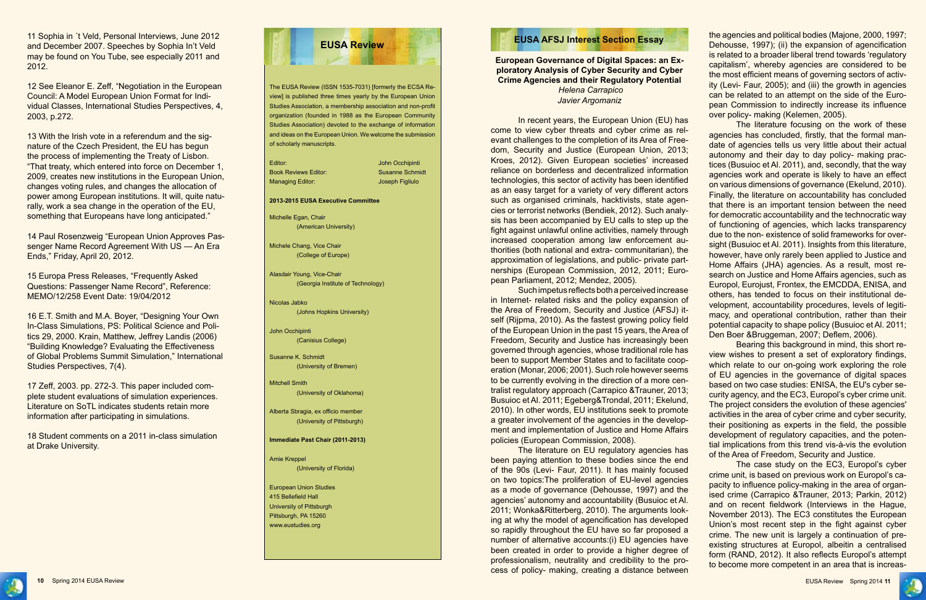



The EUSA Review (ISSN 1535-7031) [formerly the ECSA Review] is published three times yearly by the European Union Studies Association, a membership association and non-profit organization (founded in 1988 as the European Community Studies Association) devoted to the exchange of information and ideas on the European Union. We welcome the submission of scholarly manuscripts.

| Editor:                 | John Occhipinti        |
|-------------------------|------------------------|
| Book Reviews Editor:    | <b>Susanne Schmidt</b> |
| <b>Managing Editor:</b> | Joseph Figliulo        |
|                         |                        |

#### **2013-2015 EUSA Executive Committee**

Michelle Egan, Chair (American University)

Michele Chang, Vice Chair (College of Europe)

**EUSA AFSJ Interest Section Essay 11 Sophia in ´t Veld, Personal Interviews, June 2012** and December 2007. Speeches by Sophia In't Veld may be found on You Tube, see especially 2011 and 2012.

> Alasdair Young, Vice-Chair (Georgia Institute of Technology)

13 With the Irish vote in a referendum and the signature of the Czech President, the EU has begun the process of implementing the Treaty of Lisbon. "That treaty, which entered into force on December 1, 2009, creates new institutions in the European Union, changes voting rules, and changes the allocation of power among European institutions. It will, quite naturally, work a sea change in the operation of the EU, something that Europeans have long anticipated."

> Nicolas Jabko (Johns Hopkins University)

John Occhipinti (Canisius College)

Susanne K. Schmidt (University of Bremen)

Mitchell Smith (University of Oklahoma)

Alberta Sbragia, ex officio member (University of Pittsburgh)

**Immediate Past Chair (2011-2013)**

Amie Kreppel (University of Florida)

European Union Studies 415 Bellefield Hall University of Pittsburgh Pittsburgh, PA 15260 www.eustudies.org

12 See Eleanor E. Zeff, "Negotiation in the European Council: A Model European Union Format for Individual Classes, International Studies Perspectives, 4, 2003, p.272.

14 Paul Rosenzweig "European Union Approves Passenger Name Record Agreement With US — An Era Ends," Friday, April 20, 2012.

15 Europa Press Releases, "Frequently Asked Questions: Passenger Name Record", Reference: MEMO/12/258 Event Date: 19/04/2012

16 E.T. Smith and M.A. Boyer, "Designing Your Own In-Class Simulations, PS: Political Science and Politics 29, 2000. Krain, Matthew, Jeffrey Landis (2006) "Building Knowledge? Evaluating the Effectiveness of Global Problems Summit Simulation," International Studies Perspectives, 7(4).

17 Zeff, 2003. pp. 272-3. This paper included complete student evaluations of simulation experiences. Literature on SoTL indicates students retain more information after participating in simulations.

18 Student comments on a 2011 in-class simulation at Drake University.

**European Governance of Digital Spaces: an Exploratory Analysis of Cyber Security and Cyber Crime Agencies and their Regulatory Potential** *Helena Carrapico Javier Argomaniz*

In recent years, the European Union (EU) has come to view cyber threats and cyber crime as relevant challenges to the completion of its Area of Freedom, Security and Justice (European Union, 2013; Kroes, 2012). Given European societies' increased reliance on borderless and decentralized information technologies, this sector of activity has been identified as an easy target for a variety of very different actors such as organised criminals, hacktivists, state agencies or terrorist networks (Bendiek, 2012). Such analysis has been accompanied by EU calls to step up the fight against unlawful online activities, namely through increased cooperation among law enforcement authorities (both national and extra- communitarian), the approximation of legislations, and public- private partnerships (European Commission, 2012, 2011; Euro-Such impetus reflects both a perceived increase over policy- making (Kelemen, 2005). The literature focusing on the work of these agencies has concluded, firstly, that the formal mandate of agencies tells us very little about their actual autonomy and their day to day policy- making practices (Busuioc et Al. 2011), and, secondly, that the way agencies work and operate is likely to have an effect on various dimensions of governance (Ekelund, 2010). Finally, the literature on accountability has concluded that there is an important tension between the need for democratic accountability and the technocratic way of functioning of agencies, which lacks transparency due to the non- existence of solid frameworks for oversight (Busuioc et Al. 2011). Insights from this literature, however, have only rarely been applied to Justice and Home Affairs (JHA) agencies. As a result, most research on Justice and Home Affairs agencies, such as Europol, Eurojust, Frontex, the EMCDDA, ENISA, and others, has tended to focus on their institutional development, accountability procedures, levels of legitimacy, and operational contribution, rather than their potential capacity to shape policy (Busuioc et Al. 2011; Den Boer &Bruggeman, 2007; Deflem, 2006).

the agencies and political bodies (Majone, 2000, 1997; Dehousse, 1997); (ii) the expansion of agencification is related to a broader liberal trend towards 'regulatory capitalism', whereby agencies are considered to be the most efficient means of governing sectors of activity (Levi- Faur, 2005); and (iii) the growth in agencies can be related to an attempt on the side of the European Commission to indirectly increase its influence

pean Parliament, 2012; Mendez, 2005). in Internet- related risks and the policy expansion of the Area of Freedom, Security and Justice (AFSJ) itself (Rijpma, 2010). As the fastest growing policy field of the European Union in the past 15 years, the Area of Freedom, Security and Justice has increasingly been governed through agencies, whose traditional role has been to support Member States and to facilitate cooperation (Monar, 2006; 2001). Such role however seems to be currently evolving in the direction of a more centralist regulatory approach (Carrapico &Trauner, 2013; Busuioc et Al. 2011; Egeberg&Trondal, 2011; Ekelund, 2010). In other words, EU institutions seek to promote a greater involvement of the agencies in the development and implementation of Justice and Home Affairs policies (European Commission, 2008). The literature on EU regulatory agencies has Bearing this background in mind, this short review wishes to present a set of exploratory findings, which relate to our on-going work exploring the role of EU agencies in the governance of digital spaces based on two case studies: ENISA, the EU's cyber security agency, and the EC3, Europol's cyber crime unit. The project considers the evolution of these agencies' activities in the area of cyber crime and cyber security, their positioning as experts in the field, the possible development of regulatory capacities, and the potential implications from this trend vis-à-vis the evolution of the Area of Freedom, Security and Justice.

been paying attention to these bodies since the end of the 90s (Levi- Faur, 2011). It has mainly focused on two topics:The proliferation of EU-level agencies as a mode of governance (Dehousse, 1997) and the agencies' autonomy and accountability (Busuioc et Al. 2011; Wonka&Ritterberg, 2010). The arguments looking at why the model of agencification has developed so rapidly throughout the EU have so far proposed a number of alternative accounts:(i) EU agencies have been created in order to provide a higher degree of professionalism, neutrality and credibility to the process of policy- making, creating a distance between The case study on the EC3, Europol's cyber crime unit, is based on previous work on Europol's capacity to influence policy-making in the area of organised crime (Carrapico &Trauner, 2013; Parkin, 2012) and on recent fieldwork (Interviews in the Hague, November 2013). The EC3 constitutes the European Union's most recent step in the fight against cyber crime. The new unit is largely a continuation of preexisting structures at Europol, albeitin a centralised form (RAND, 2012). It also reflects Europol's attempt to become more competent in an area that is increas-



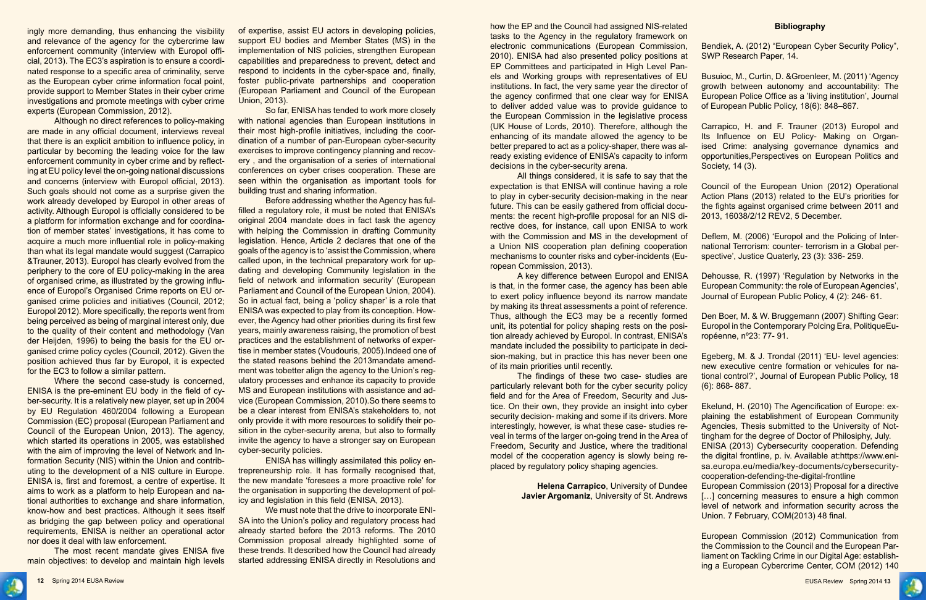

ingly more demanding, thus enhancing the visibility and relevance of the agency for the cybercrime law enforcement community (interview with Europol official, 2013). The EC3's aspiration is to ensure a coordinated response to a specific area of criminality, serve as the European cyber crime information focal point, provide support to Member States in their cyber crime investigations and promote meetings with cyber crime experts (European Commission, 2012).

Although no direct references to policy-making are made in any official document, interviews reveal that there is an explicit ambition to influence policy, in particular by becoming the leading voice for the law enforcement community in cyber crime and by reflecting at EU policy level the on-going national discussions and concerns (interview with Europol official, 2013). Such goals should not come as a surprise given the work already developed by Europol in other areas of activity. Although Europol is officially considered to be a platform for information exchange and for coordination of member states' investigations, it has come to acquire a much more influential role in policy-making than what its legal mandate would suggest (Carrapico &Trauner, 2013). Europol has clearly evolved from the periphery to the core of EU policy-making in the area of organised crime, as illustrated by the growing influence of Europol's Organised Crime reports on EU organised crime policies and initiatives (Council, 2012; Europol 2012). More specifically, the reports went from being perceived as being of marginal interest only, due to the quality of their content and methodology (Van der Heijden, 1996) to being the basis for the EU organised crime policy cycles (Council, 2012). Given the position achieved thus far by Europol, it is expected for the EC3 to follow a similar pattern.

Where the second case-study is concerned, ENISA is the pre-eminent EU body in the field of cyber-security. It is a relatively new player, set up in 2004 by EU Regulation 460/2004 following a European Commission (EC) proposal (European Parliament and Council of the European Union, 2013). The agency, which started its operations in 2005, was established with the aim of improving the level of Network and Information Security (NIS) within the Union and contributing to the development of a NIS culture in Europe. ENISA is, first and foremost, a centre of expertise. It aims to work as a platform to help European and national authorities to exchange and share information, know-how and best practices. Although it sees itself as bridging the gap between policy and operational requirements, ENISA is neither an operational actor nor does it deal with law enforcement.

The most recent mandate gives ENISA five main objectives: to develop and maintain high levels

of expertise, assist EU actors in developing policies, support EU bodies and Member States (MS) in the implementation of NIS policies, strengthen European capabilities and preparedness to prevent, detect and respond to incidents in the cyber-space and, finally, foster public-private partnerships and cooperation (European Parliament and Council of the European Union, 2013).

> All things considered, it is safe to say that the expectation is that ENISA will continue having a rol to play in cyber-security decision-making in the near future. This can be easily gathered from official docu ments: the recent high-profile proposal for an NIS of rective does, for instance, call upon ENISA to wo with the Commission and MS in the development a Union NIS cooperation plan defining cooperation mechanisms to counter risks and cyber-incidents (European Commission, 2013).

So far, ENISA has tended to work more closely with national agencies than European institutions in their most high-profile initiatives, including the coordination of a number of pan-European cyber-security exercises to improve contingency planning and recovery , and the organisation of a series of international conferences on cyber crises cooperation. These are seen within the organisation as important tools for building trust and sharing information.

> A key difference between Europol and ENIS is that, in the former case, the agency has been able to exert policy influence beyond its narrow mandat by making its threat assessments a point of reference Thus, although the EC3 may be a recently formed unit, its potential for policy shaping rests on the post tion already achieved by Europol. In contrast, ENISA mandate included the possibility to participate in decsion-making, but in practice this has never been or of its main priorities until recently.

> The findings of these two case- studies a particularly relevant both for the cyber security polifield and for the Area of Freedom, Security and Ju tice. On their own, they provide an insight into cyber security decision- making and some if its drivers. More interestingly, however, is what these case- studies reveal in terms of the larger on-going trend in the Area Freedom, Security and Justice, where the tradition model of the cooperation agency is slowly being replaced by regulatory policy shaping agencies.

> > **Helena Carrapico, University of Dunde Javier Argomaniz, University of St. Andrey**

| วท<br>n,                                 | Bendiek, A. (2012) "European Cyber Security Policy",                                                                                                                                                                                                                                                                                                                                                                                            |
|------------------------------------------|-------------------------------------------------------------------------------------------------------------------------------------------------------------------------------------------------------------------------------------------------------------------------------------------------------------------------------------------------------------------------------------------------------------------------------------------------|
| at<br>n-                                 | SWP Research Paper, 14.                                                                                                                                                                                                                                                                                                                                                                                                                         |
| :U<br>of                                 | Busuioc, M., Curtin, D. & Groenleer, M. (2011) 'Agency<br>growth between autonomy and accountability: The                                                                                                                                                                                                                                                                                                                                       |
| òА<br>to<br>SS                           | European Police Office as a 'living institution', Journal<br>of European Public Policy, 18(6): 848-867.                                                                                                                                                                                                                                                                                                                                         |
| ١e<br>œ<br>al-<br>m                      | Carrapico, H. and F. Trauner (2013) Europol and<br>Its Influence on EU Policy- Making on Organ-<br>ised Crime: analysing governance dynamics and<br>opportunities, Perspectives on European Politics and<br>Society, 14 (3).                                                                                                                                                                                                                    |
| ٦ė<br>١le<br>ar<br>u-                    | Council of the European Union (2012) Operational<br>Action Plans (2013) related to the EU's priorities for<br>the fights against organised crime between 2011 and                                                                                                                                                                                                                                                                               |
| -it<br>rk                                | 2013, 16038/2/12 REV2, 5 December.                                                                                                                                                                                                                                                                                                                                                                                                              |
| of<br>ρn<br>u-                           | Deflem, M. (2006) 'Europol and the Policing of Inter-<br>national Terrorism: counter- terrorism in a Global per-<br>spective', Justice Quaterly, 23 (3): 336-259.                                                                                                                                                                                                                                                                               |
| šА<br>۱e<br>te<br>e.                     | Dehousse, R. (1997) 'Regulation by Networks in the<br>European Community: the role of European Agencies',<br>Journal of European Public Policy, 4 (2): 246-61.                                                                                                                                                                                                                                                                                  |
| эd<br>si-<br>۷Ŝ<br>ci-                   | Den Boer, M. & W. Bruggemann (2007) Shifting Gear:<br>Europol in the Contemporary Polcing Era, PolitiqueEu-<br>ropéenne, nº23: 77-91.                                                                                                                                                                                                                                                                                                           |
| ٦ė<br>re<br>cу                           | Egeberg, M. & J. Trondal (2011) 'EU- level agencies:<br>new executive centre formation or vehicules for na-<br>tional control?', Journal of European Public Policy, 18<br>$(6)$ : 868-887.                                                                                                                                                                                                                                                      |
| $S-$<br>er<br>re<br>e-<br>of<br>al<br>e- | Ekelund, H. (2010) The Agencification of Europe: ex-<br>plaining the establishment of European Community<br>Agencies, Thesis submitted to the University of Not-<br>tingham for the degree of Doctor of Philosiphy, July.<br>ENISA (2013) Cybersecurity cooperation. Defending<br>the digital frontline, p. iv. Available at:https://www.eni-<br>sa.europa.eu/media/key-documents/cybersecurity-<br>cooperation-defending-the-digital-frontline |
| эе<br>VS                                 | European Commission (2013) Proposal for a directive<br>[] concerning measures to ensure a high common<br>level of network and information security across the<br>Union. 7 February, COM(2013) 48 final.                                                                                                                                                                                                                                         |
|                                          | European Commission (2012) Communication from<br>the Commission to the Council and the European Par-<br>liament on Tackling Crime in our Digital Age: establish-                                                                                                                                                                                                                                                                                |

Before addressing whether the Agency has fulfilled a regulatory role, it must be noted that ENISA's original 2004 mandate does in fact task the agency with helping the Commission in drafting Community legislation. Hence, Article 2 declares that one of the goals of the agency is to 'assist the Commission, where called upon, in the technical preparatory work for updating and developing Community legislation in the field of network and information security' (European Parliament and Council of the European Union, 2004). So in actual fact, being a 'policy shaper' is a role that ENISA was expected to play from its conception. However, the Agency had other priorities during its first few years, mainly awareness raising, the promotion of best practices and the establishment of networks of expertise in member states (Voudouris, 2005).Indeed one of the stated reasons behind the 2013mandate amendment was tobetter align the agency to the Union's regulatory processes and enhance its capacity to provide MS and European institutions with assistance and advice (European Commission, 2010).So there seems to be a clear interest from ENISA's stakeholders to, not only provide it with more resources to solidify their position in the cyber-security arena, but also to formally invite the agency to have a stronger say on European cyber-security policies.

ENISA has willingly assimilated this policy entrepreneurship role. It has formally recognised that, the new mandate 'foresees a more proactive role' for the organisation in supporting the development of policy and legislation in this field (ENISA, 2013).

We must note that the drive to incorporate ENI-SA into the Union's policy and regulatory process had already started before the 2013 reforms. The 2010 Commission proposal already highlighted some of these trends. It described how the Council had already started addressing ENISA directly in Resolutions and

how the EP and the Council had assigned NIS-related tasks to the Agency in the regulatory framework on electronic communications (European Commission 2010). ENISA had also presented policy positions EP Committees and participated in High Level Pan els and Working groups with representatives of E institutions. In fact, the very same year the director the agency confirmed that one clear way for ENIS to deliver added value was to provide quidance the European Commission in the legislative proces (UK House of Lords, 2010). Therefore, although the enhancing of its mandate allowed the agency to be better prepared to act as a policy-shaper, there was a ready existing evidence of ENISA's capacity to infor decisions in the cyber-security arena.

#### **Bibliography**

ing a European Cybercrime Center, COM (2012) 140

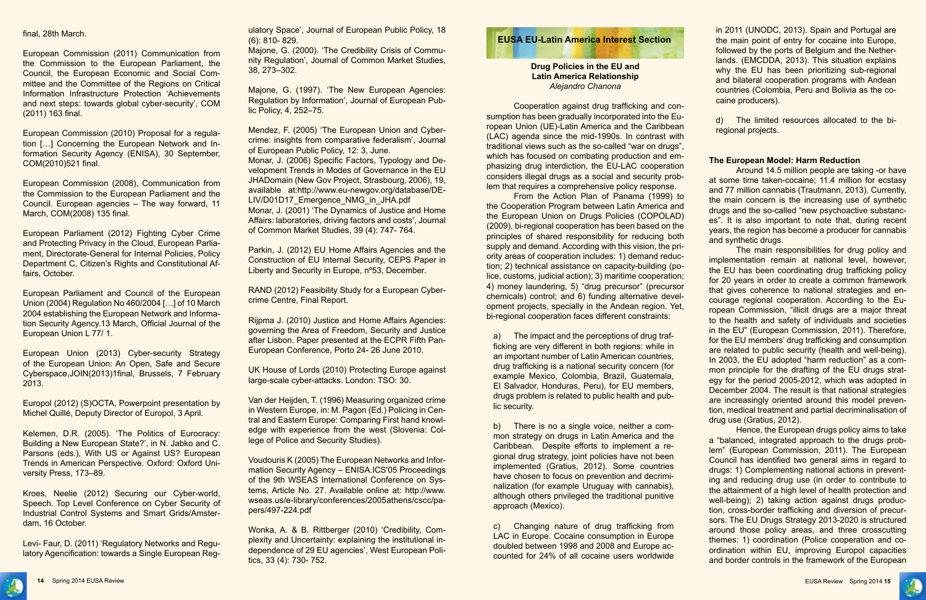#### final, 28th March.

European Commission (2011) Communication from the Commission to the European Parliament, the Council, the European Economic and Social Committee and the Committee of the Regions on Critical Information Infrastructure Protection 'Achievements and next steps: towards global cyber-security', COM (2011) 163 final.

European Commission (2010) Proposal for a regulation […] Concerning the European Network and Information Security Agency (ENISA), 30 September, COM(2010)521 final.

European Commission (2008), Communication from the Commission to the European Parliament and the Council. European agencies – The way forward, 11 March, COM(2008) 135 final.

European Parliament (2012) Fighting Cyber Crime and Protecting Privacy in the Cloud, European Parliament, Directorate-General for Internal Policies, Policy Department C, Citizen's Rights and Constitutional Affairs, October.

European Parliament and Council of the European Union (2004) Regulation No 460/2004 […] of 10 March 2004 establishing the European Network and Information Security Agency.13 March, Official Journal of the European Union L 77/ 1.

European Union (2013) Cyber-security Strategy of the European Union: An Open, Safe and Secure Cyberspace,JOIN(2013)1final, Brussels, 7 February 2013.

Europol (2012) (S)OCTA, Powerpoint presentation by Michel Quillé, Deputy Director of Europol, 3 April.

Kelemen, D.R. (2005). 'The Politics of Eurocracy: Building a New European State?', in N. Jabko and C. Parsons (eds.), With US or Against US? European Trends in American Perspective. Oxford: Oxford University Press, 173–89.

Kroes, Neelie (2012) Securing our Cyber-world, Speech. Top Level Conference on Cyber Security of Industrial Control Systems and Smart Grids/Amsterdam, 16 October.

Levi- Faur, D. (2011) 'Regulatory Networks and Regulatory Agencification: towards a Single European Regulatory Space', Journal of European Public Policy, 18 (6): 810- 829.

Majone, G. (2000). 'The Credibility Crisis of Community Regulation', Journal of Common Market Studies, 38, 273–302.

Majone, G. (1997). 'The New European Agencies: Regulation by Information', Journal of European Public Policy, 4, 252–75.

Mendez, F. (2005) 'The European Union and Cybercrime: insights from comparative federalism', Journal of European Public Policy, 12: 3, June. Monar, J. (2006) Specific Factors, Typology and Development Trends in Modes of Governance in the EU JHADomain (New Gov Project, Strasbourg, 2006), 19, available at:http://www.eu-newgov.org/database/DE-LIV/D01D17\_Emergence\_NMG\_in\_JHA.pdf Monar, J. (2001) 'The Dynamics of Justice and Home Affairs: laboratories, driving factors and costs', Journal of Common Market Studies, 39 (4): 747- 764.

Parkin, J. (2012) EU Home Affairs Agencies and the Construction of EU Internal Security, CEPS Paper in Liberty and Security in Europe, nº53, December.

RAND (2012) Feasibility Study for a European Cybercrime Centre, Final Report.

> b) There is no a single voice, neither a common strategy on drugs in Latin America and the Caribbean. Despite efforts to implement a regional drug strategy, joint policies have not been implemented (Gratius, 2012). Some countries have chosen to focus on prevention and decriminalization (for example Uruguay with cannabis), although others privileged the traditional punitive approach (Mexico).

Rijpma J. (2010) Justice and Home Affairs Agencies: governing the Area of Freedom, Security and Justice after Lisbon. Paper presented at the ECPR Fifth Pan-European Conference, Porto 24- 26 June 2010.

UK House of Lords (2010) Protecting Europe against large-scale cyber-attacks. London: TSO: 30.

Van der Heijden, T. (1996) Measuring organized crime in Western Europe, in: M. Pagon (Ed.) Policing in Central and Eastern Europe: Comparing First hand knowledge with experience from the west (Slovenia: College of Police and Security Studies).

Voudouris K (2005) The European Networks and Information Security Agency – ENISA.ICS'05 Proceedings of the 9th WSEAS International Conference on Systems, Article No. 27. Available online at: http://www. wseas.us/e-library/conferences/2005athens/cscc/papers/497-224.pdf

Wonka, A. & B. Rittberger (2010) 'Credibility, Complexity and Uncertainty: explaining the institutional independence of 29 EU agencies', West European Politics, 33 (4): 730- 752.

#### **Drug Policies in the EU and Latin America Relationship** *Alejandro Chanona*

Cooperation against drug trafficking and consumption has been gradually incorporated into the European Union (UE)-Latin America and the Caribbean (LAC) agenda since the mid-1990s. In contrast with traditional views such as the so-called "war on drugs", which has focused on combating production and emphasizing drug interdiction, the EU-LAC cooperation considers illegal drugs as a social and security problem that requires a comprehensive policy response.

From the Action Plan of Panama (1999) to the Cooperation Program between Latin America and the European Union on Drugs Policies (COPOLAD) (2009), bi-regional cooperation has been based on the principles of shared responsibility for reducing both supply and demand. According with this vision, the priority areas of cooperation includes: 1) demand reduction; 2) technical assistance on capacity-building (police, customs, judicial action); 3) maritime cooperation; 4) money laundering, 5) "drug precursor" (precursor chemicals) control; and 6) funding alternative development projects, specially in the Andean region. Yet, bi-regional cooperation faces different constraints:

a) The impact and the perceptions of drug trafficking are very different in both regions: while in an important number of Latin American countries, drug trafficking is a national security concern (for example Mexico, Colombia, Brazil, Guatemala, El Salvador, Honduras, Peru), for EU members, drugs problem is related to public health and public security.

c) Changing nature of drug trafficking from LAC in Europe. Cocaine consumption in Europe doubled between 1998 and 2008 and Europe accounted for 24% of all cocaine users worldwide



### **EUSA EU-Latin America Interest Section**

in 2011 (UNODC, 2013). Spain and Portugal are the main point of entry for cocaine into Europe, followed by the ports of Belgium and the Netherlands. (EMCDDA, 2013). This situation explains why the EU has been prioritizing sub-regional and bilateral cooperation programs with Andean countries (Colombia, Peru and Bolivia as the cocaine producers).

d) The limited resources allocated to the biregional projects.

#### **The European Model: Harm Reduction**

Around 14.5 million people are taking -or have at some time taken-cocaine; 11.4 million for ecstasy and 77 million cannabis (Trautmann, 2013). Currently, the main concern is the increasing use of synthetic drugs and the so-called "new psychoactive substances". It is also important to note that, during recent years, the region has become a producer for cannabis and synthetic drugs.

The main responsibilities for drug policy and implementation remain at national level, however, the EU has been coordinating drug trafficking policy for 20 years in order to create a common framework that gives coherence to national strategies and encourage regional cooperation. According to the European Commission, "illicit drugs are a major threat to the health and safety of individuals and societies in the EU" (European Commission, 2011). Therefore, for the EU members' drug trafficking and consumption are related to public security (health and well-being). In 2003, the EU adopted "harm reduction" as a common principle for the drafting of the EU drugs strategy for the period 2005-2012, which was adopted in December 2004. The result is that national strategies are increasingly oriented around this model prevention, medical treatment and partial decriminalisation of drug use (Gratius, 2012).

Hence, the European drugs policy aims to take a "balanced, integrated approach to the drugs problem" (European Commission, 2011). The European Council has identified two general aims in regard to drugs: 1) Complementing national actions in preventing and reducing drug use (in order to contribute to the attainment of a high level of health protection and well-being); 2) taking action against drugs production, cross-border trafficking and diversion of precursors. The EU Drugs Strategy 2013-2020 is structured around those policy areas, and three crosscutting themes: 1) coordination (Police cooperation and coordination within EU, improving Europol capacities and border controls in the framework of the European

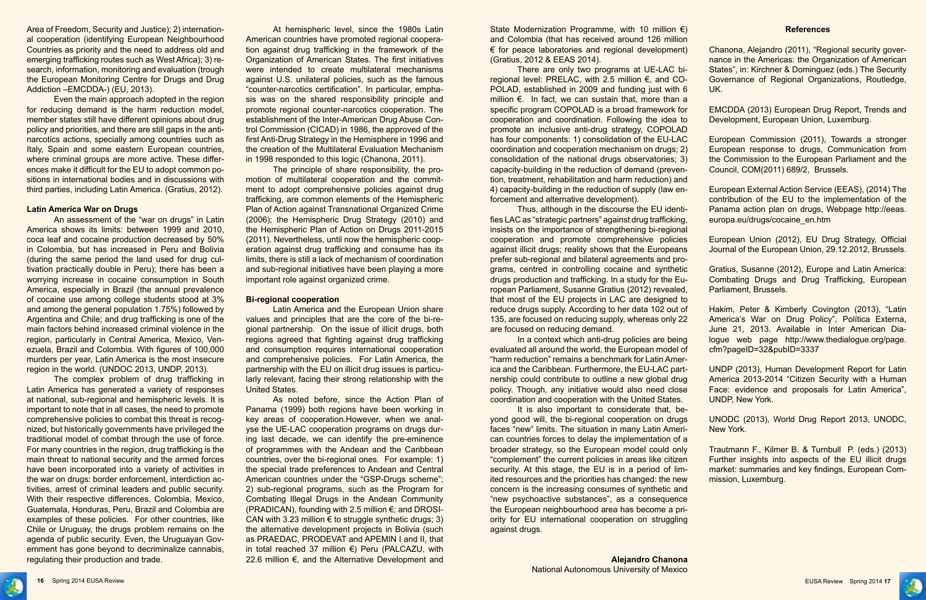

Area of Freedom, Security and Justice); 2) international cooperation (identifying European Neighbourhood Countries as priority and the need to address old and emerging trafficking routes such as West Africa); 3) research, information, monitoring and evaluation (trough the European Monitoring Centre for Drugs and Drug Addiction –EMCDDA-) (EU, 2013).

Even the main approach adopted in the region for reducing demand is the harm reduction model, member states still have different opinions about drug policy and priorities, and there are still gaps in the antinarcotics actions, specially among countries such as Italy, Spain and some eastern European countries, where criminal groups are more active. These differences make it difficult for the EU to adopt common positions in international bodies and in discussions with third parties, including Latin America. (Gratius, 2012).

#### **Latin America War on Drugs**

An assessment of the "war on drugs" in Latin America shows its limits: between 1999 and 2010, coca leaf and cocaine production decreased by 50% in Colombia, but has increased in Peru and Bolivia (during the same period the land used for drug cultivation practically double in Peru); there has been a worrying increase in cocaine consumption in South America, especially in Brazil (the annual prevalence of cocaine use among college students stood at 3% and among the general population 1.75%) followed by Argentina and Chile; and drug trafficking is one of the main factors behind increased criminal violence in the region, particularly in Central America, Mexico, Venezuela, Brazil and Colombia. With figures of 100,000 murders per year, Latin America is the most insecure region in the world. (UNDOC 2013, UNDP, 2013).

The complex problem of drug trafficking in Latin America has generated a variety of responses at national, sub-regional and hemispheric levels. It is important to note that in all cases, the need to promote comprehensive policies to combat this threat is recognized, but historically governments have privileged the traditional model of combat through the use of force. For many countries in the region, drug trafficking is the main threat to national security and the armed forces have been incorporated into a variety of activities in the war on drugs: border enforcement, interdiction activities, arrest of criminal leaders and public security. With their respective differences, Colombia, Mexico, Guatemala, Honduras, Peru, Brazil and Colombia are examples of these policies. For other countries, like Chile or Uruguay, the drugs problem remains on the agenda of public security. Even, the Uruguayan Government has gone beyond to decriminalize cannabis, regulating their production and trade.

As noted before, since the Action Plan of Panama (1999) both regions have been working in key areas of cooperation.However, when we analyse the UE-LAC cooperation programs on drugs during last decade, we can identify the pre-eminence of programmes with the Andean and the Caribbean countries, over the bi-regional ones. For example: 1) the special trade preferences to Andean and Central American countries under the "GSP-Drugs scheme"; 2) sub-regional programs, such as the Program for Combating Illegal Drugs in the Andean Community (PRADICAN), founding with 2.5 million  $\epsilon$ ; and DROSI-CAN with 3.23 million  $\epsilon$  to struggle synthetic drugs; 3) the alternative development projects in Bolivia (such as PRAEDAC, PRODEVAT and APEMIN I and II, that in total reached 37 million €) Peru (PALCAZU, with 22.6 million  $€$ , and the Alternative Development and

State Modernization Programme, with 10 million  $\epsilon$ ) and Colombia (that has received around 126 million  $\epsilon$  for peace laboratories and regional development) (Gratius, 2012 & EEAS 2014).

At hemispheric level, since the 1980s Latin American countries have promoted regional cooperation against drug trafficking in the framework of the Organization of American States. The first initiatives were intended to create multilateral mechanisms against U.S. unilateral policies, such as the famous "counter-narcotics certification". In particular, emphasis was on the shared responsibility principle and promote regional counter-narcotics cooperation. The establishment of the Inter-American Drug Abuse Control Commission (CICAD) in 1986, the approved of the first Anti-Drug Strategy in the Hemisphere in 1996 and the creation of the Multilateral Evaluation Mechanism in 1998 responded to this logic (Chanona, 2011).

The principle of share responsibility, the promotion of multilateral cooperation and the commitment to adopt comprehensive policies against drug trafficking, are common elements of the Hemispheric Plan of Action against Transnational Organized Crime (2006); the Hemispheric Drug Strategy (2010) and the Hemispheric Plan of Action on Drugs 2011-2015 (2011). Nevertheless, until now the hemispheric cooperation against drug trafficking and consume has its limits, there is still a lack of mechanism of coordination and sub-regional initiatives have been playing a more important role against organized crime.

#### **Bi-regional cooperation**

Latin America and the European Union share values and principles that are the core of the bi-regional partnership. On the issue of illicit drugs, both regions agreed that fighting against drug trafficking and consumption requires international cooperation and comprehensive policies. For Latin America, the partnership with the EU on illicit drug issues is particularly relevant, facing their strong relationship with the United States.

There are only two programs at UE-LAC biregional level: PRELAC, with 2.5 million €, and CO-POLAD, established in 2009 and funding just with 6 million €. In fact, we can sustain that, more than a specific program COPOLAD is a broad framework for cooperation and coordination. Following the idea to promote an inclusive anti-drug strategy, COPOLAD has four components: 1) consolidation of the EU-LAC coordination and cooperation mechanism on drugs; 2) consolidation of the national drugs observatories; 3) capacity-building in the reduction of demand (prevention, treatment, rehabilitation and harm reduction) and 4) capacity-building in the reduction of supply (law enforcement and alternative development).

Thus, although in the discourse the EU identifies LAC as "strategic partners" against drug trafficking, insists on the importance of strengthening bi-regional cooperation and promote comprehensive policies against illicit drugs; reality shows that the Europeans prefer sub-regional and bilateral agreements and programs, centred in controlling cocaine and synthetic drugs production and trafficking. In a study for the European Parliament, Susanne Gratius (2012) revealed, that most of the EU projects in LAC are designed to reduce drugs supply. According to her data 102 out of 135, are focused on reducing supply, whereas only 22 are focused on reducing demand.

In a context which anti-drug policies are being evaluated all around the world, the European model of "harm reduction" remains a benchmark for Latin America and the Caribbean. Furthermore, the EU-LAC partnership could contribute to outline a new global drug policy. Though, any initiative would also need close coordination and cooperation with the United States.

It is also important to considerate that, beyond good will, the bi-regional cooperation on drugs faces "new" limits. The situation in many Latin American countries forces to delay the implementation of a broader strategy, so the European model could only "complement" the current policies in areas like citizen security. At this stage, the EU is in a period of limited resources and the priorities has changed: the new concern is the increasing consumes of synthetic and "new psychoactive substances", as a consequence the European neighbourhood area has become a priority for EU international cooperation on struggling against drugs.

#### **References**

Chanona, Alejandro (2011), "Regional security governance in the Americas: the Organization of American States", in: Kirchner & Dominguez (eds.) The Security Governance of Regional Organizations, Routledge, UK. EMCDDA (2013) European Drug Report, Trends and Development, European Union, Luxemburg. European Commission (2011), Towards a stronger European response to drugs, Communication from the Commission to the European Parliament and the Council, COM(2011) 689/2, Brussels. European External Action Service (EEAS), (2014) The contribution of the EU to the implementation of the Panama action plan on drugs, Webpage http://eeas. europa.eu/drugs/cocaine\_en.htm European Union (2012), EU Drug Strategy, Official Journal of the European Union, 29.12.2012, Brussels. Gratius, Susanne (2012), Europe and Latin America: Combating Drugs and Drug Trafficking, European Parliament, Brussels. Hakim, Peter & Kimberly Covington (2013), "Latin America's War on Drug Policy", Política Externa, June 21, 2013. Available in Inter American Dialogue web page http://www.thedialogue.org/page. cfm?pageID=32&pubID=3337 UNDP (2013), Human Development Report for Latin America 2013-2014 "Citizen Security with a Human Face: evidence and proposals for Latin America", UNDP, New York. UNODC (2013), World Drug Report 2013, UNODC, New York. Trautmann F., Kilmer B. & Turnbull P. (eds.) (2013) Further insights into aspects of the EU illicit drugs market: summaries and key findings, European Commission, Luxemburg.



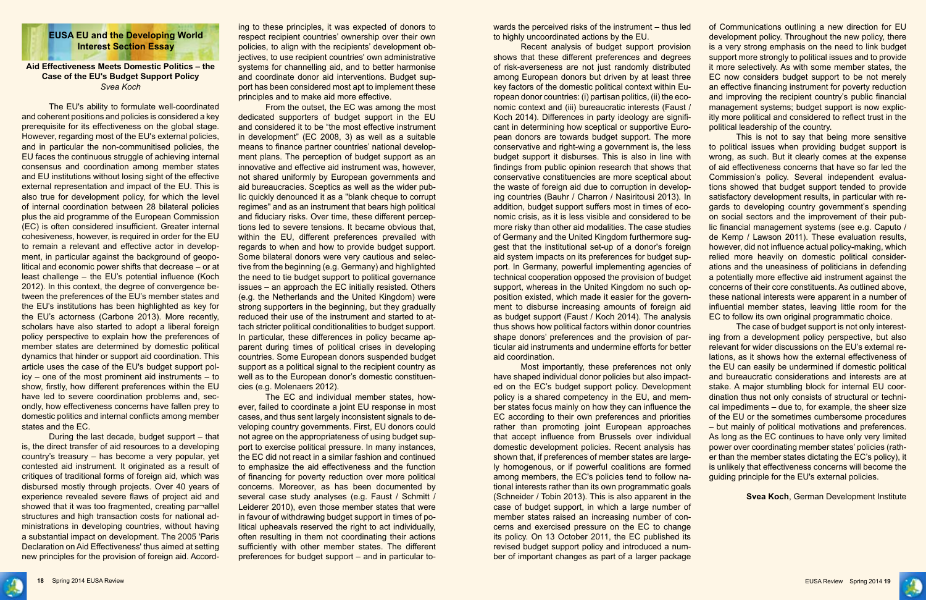### **EUSA EU and the Developing World Interest Section Essay**

#### **Aid Effectiveness Meets Domestic Politics – the Case of the EU's Budget Support Policy** *Svea Koch*

The EU's ability to formulate well-coordinated and coherent positions and policies is considered a key prerequisite for its effectiveness on the global stage. However, regarding most of the EU's external policies, and in particular the non-communitised policies, the EU faces the continuous struggle of achieving internal consensus and coordination among member states and EU institutions without losing sight of the effective external representation and impact of the EU. This is also true for development policy, for which the level of internal coordination between 28 bilateral policies plus the aid programme of the European Commission (EC) is often considered insufficient. Greater internal cohesiveness, however, is required in order for the EU to remain a relevant and effective actor in development, in particular against the background of geopolitical and economic power shifts that decrease – or at least challenge – the EU's potential influence (Koch 2012). In this context, the degree of convergence between the preferences of the EU's member states and the EU's institutions has been highlighted as key for the EU's actorness (Carbone 2013). More recently, scholars have also started to adopt a liberal foreign policy perspective to explain how the preferences of member states are determined by domestic political dynamics that hinder or support aid coordination. This article uses the case of the EU's budget support policy – one of the most prominent aid instruments – to show, firstly, how different preferences within the EU have led to severe coordination problems and, secondly, how effectiveness concerns have fallen prey to domestic politics and internal conflicts among member states and the EC.

During the last decade, budget support – that is, the direct transfer of aid resources to a developing country's treasury – has become a very popular, yet contested aid instrument. It originated as a result of critiques of traditional forms of foreign aid, which was disbursed mostly through projects. Over 40 years of experience revealed severe flaws of project aid and showed that it was too fragmented, creating par¬allel structures and high transaction costs for national administrations in developing countries, without having a substantial impact on development. The 2005 'Paris Declaration on Aid Effectiveness' thus aimed at setting new principles for the provision of foreign aid. According to these principles, it was expected of donors to respect recipient countries' ownership over their own policies, to align with the recipients' development objectives, to use recipient countries' own administrative systems for channelling aid, and to better harmonise and coordinate donor aid interventions. Budget support has been considered most apt to implement these principles and to make aid more effective.

From the outset, the EC was among the most dedicated supporters of budget support in the EU and considered it to be "the most effective instrument in development" (EC 2008, 3) as well as a suitable means to finance partner countries' national development plans. The perception of budget support as an innovative and effective aid instrument was, however, not shared uniformly by European governments and aid bureaucracies. Sceptics as well as the wider public quickly denounced it as a "blank cheque to corrupt regimes" and as an instrument that bears high political and fiduciary risks. Over time, these different perceptions led to severe tensions. It became obvious that, within the EU, different preferences prevailed with regards to when and how to provide budget support. Some bilateral donors were very cautious and selective from the beginning (e.g. Germany) and highlighted the need to tie budget support to political governance issues – an approach the EC initially resisted. Others (e.g. the Netherlands and the United Kingdom) were strong supporters in the beginning, but they gradually reduced their use of the instrument and started to attach stricter political conditionalities to budget support. In particular, these differences in policy became apparent during times of political crises in developing countries. Some European donors suspended budget support as a political signal to the recipient country as well as to the European donor's domestic constituencies (e.g. Molenaers 2012).

The EC and individual member states, however, failed to coordinate a joint EU response in most cases, and thus sent largely inconsistent signals to developing country governments. First, EU donors could not agree on the appropriateness of using budget support to exercise political pressure. In many instances, the EC did not react in a similar fashion and continued to emphasize the aid effectiveness and the function of financing for poverty reduction over more political concerns. Moreover, as has been documented by several case study analyses (e.g. Faust / Schmitt / Leiderer 2010), even those member states that were in favour of withdrawing budget support in times of political upheavals reserved the right to act individually, often resulting in them not coordinating their actions sufficiently with other member states. The different preferences for budget support – and in particular toRecent analysis of budget support provision of Communications outlining a new direction for EU development policy. Throughout the new policy, there is a very strong emphasis on the need to link budget support more strongly to political issues and to provide it more selectively. As with some member states, the EC now considers budget support to be not merely an effective financing instrument for poverty reduction and improving the recipient country's public financial management systems; budget support is now explicitly more political and considered to reflect trust in the political leadership of the country.

Most importantly, these preferences not only have shaped individual donor policies but also impacted on the EC's budget support policy. Development policy is a shared competency in the EU, and member states focus mainly on how they can influence the EC according to their own preferences and priorities rather than promoting joint European approaches that accept influence from Brussels over individual domestic development policies. Recent analysis has shown that, if preferences of member states are largely homogenous, or if powerful coalitions are formed among members, the EC's policies tend to follow national interests rather than its own programmatic goals (Schneider / Tobin 2013). This is also apparent in the case of budget support, in which a large number of member states raised an increasing number of concerns and exercised pressure on the EC to change its policy. On 13 October 2011, the EC published its revised budget support policy and introduced a number of important changes as part of a larger package



wards the perceived risks of the instrument – thus led to highly uncoordinated actions by the EU. shows that these different preferences and degrees of risk-averseness are not just randomly distributed among European donors but driven by at least three key factors of the domestic political context within European donor countries: (i) partisan politics, (ii) the economic context and (iii) bureaucratic interests (Faust / Koch 2014). Differences in party ideology are significant in determining how sceptical or supportive European donors are towards budget support. The more conservative and right-wing a government is, the less budget support it disburses. This is also in line with findings from public opinion research that shows that conservative constituencies are more sceptical about the waste of foreign aid due to corruption in developing countries (Bauhr / Charron / Nasiritousi 2013). In addition, budget support suffers most in times of economic crisis, as it is less visible and considered to be more risky than other aid modalities. The case studies of Germany and the United Kingdom furthermore suggest that the institutional set-up of a donor's foreign aid system impacts on its preferences for budget support. In Germany, powerful implementing agencies of technical cooperation opposed the provision of budget support, whereas in the United Kingdom no such opposition existed, which made it easier for the government to disburse increasing amounts of foreign aid as budget support (Faust / Koch 2014). The analysis thus shows how political factors within donor countries shape donors' preferences and the provision of particular aid instruments and undermine efforts for better aid coordination. This is not to say that being more sensitive to political issues when providing budget support is wrong, as such. But it clearly comes at the expense of aid effectiveness concerns that have so far led the Commission's policy. Several independent evaluations showed that budget support tended to provide satisfactory development results, in particular with regards to developing country government's spending on social sectors and the improvement of their public financial management systems (see e.g. Caputo / de Kemp / Lawson 2011). These evaluation results, however, did not influence actual policy-making, which relied more heavily on domestic political considerations and the uneasiness of politicians in defending a potentially more effective aid instrument against the concerns of their core constituents. As outlined above, these national interests were apparent in a number of influential member states, leaving little room for the EC to follow its own original programmatic choice. The case of budget support is not only interesting from a development policy perspective, but also relevant for wider discussions on the EU's external relations, as it shows how the external effectiveness of

the EU can easily be undermined if domestic political and bureaucratic considerations and interests are at stake. A major stumbling block for internal EU coordination thus not only consists of structural or technical impediments – due to, for example, the sheer size of the EU or the sometimes cumbersome procedures – but mainly of political motivations and preferences. As long as the EC continues to have only very limited power over coordinating member states' policies (rather than the member states dictating the EC's policy), it is unlikely that effectiveness concerns will become the guiding principle for the EU's external policies.

**Svea Koch**, German Development Institute

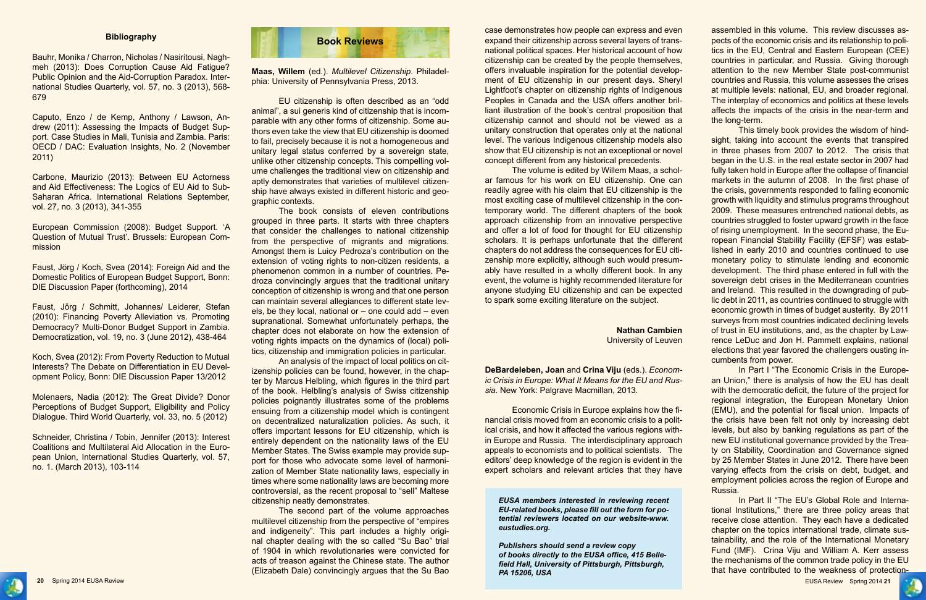

*EUSA members interested in reviewing recent EU-related books, please fill out the form for potential reviewers located on our website-www. eustudies.org.*

*Publishers should send a review copy of books directly to the EUSA office, 415 Bellefield Hall, University of Pittsburgh, Pittsburgh, PA 15206, USA*





case demonstrates how people can express and even expand their citizenship across several layers of transnational political spaces. Her historical account of how citizenship can be created by the people themselves, offers invaluable inspiration for the potential development of EU citizenship in our present days. Sheryl Lightfoot's chapter on citizenship rights of Indigenous Peoples in Canada and the USA offers another brilliant illustration of the book's central proposition that citizenship cannot and should not be viewed as a unitary construction that operates only at the national level. The various Indigenous citizenship models also show that EU citizenship is not an exceptional or novel concept different from any historical precedents.

The volume is edited by Willem Maas, a scholar famous for his work on EU citizenship. One can readily agree with his claim that EU citizenship is the most exciting case of multilevel citizenship in the contemporary world. The different chapters of the book approach citizenship from an innovative perspective and offer a lot of food for thought for EU citizenship scholars. It is perhaps unfortunate that the different to spark some exciting literature on the subject.

chapters do not address the consequences for EU citizenship more explicitly, although such would presumably have resulted in a wholly different book. In any event, the volume is highly recommended literature for anyone studying EU citizenship and can be expected **Nathan Cambien** University of Leuven **DeBardeleben, Joan** and **Crina Viju** (eds.). *Economic Crisis in Europe: What It Means for the EU and Russia*. New York: Palgrave Macmillan, 2013. Economic Crisis in Europe explains how the financial crisis moved from an economic crisis to a polit-

ical crisis, and how it affected the various regions within Europe and Russia. The interdisciplinary approach appeals to economists and to political scientists. The editors' deep knowledge of the region is evident in the expert scholars and relevant articles that they have

assembled in this volume. This review discusses aspects of the economic crisis and its relationship to politics in the EU, Central and Eastern European (CEE) countries in particular, and Russia. Giving thorough attention to the new Member State post-communist countries and Russia, this volume assesses the crises at multiple levels: national, EU, and broader regional. The interplay of economics and politics at these levels affects the impacts of the crisis in the near-term and the long-term.

This timely book provides the wisdom of hindsight, taking into account the events that transpired in three phases from 2007 to 2012. The crisis that began in the U.S. in the real estate sector in 2007 had fully taken hold in Europe after the collapse of financial markets in the autumn of 2008. In the first phase of the crisis, governments responded to falling economic growth with liquidity and stimulus programs throughout 2009. These measures entrenched national debts, as countries struggled to foster upward growth in the face of rising unemployment. In the second phase, the European Financial Stability Facility (EFSF) was established in early 2010 and countries continued to use monetary policy to stimulate lending and economic development. The third phase entered in full with the sovereign debt crises in the Mediterranean countries and Ireland. This resulted in the downgrading of public debt in 2011, as countries continued to struggle with economic growth in times of budget austerity. By 2011 surveys from most countries indicated declining levels of trust in EU institutions, and, as the chapter by Lawrence LeDuc and Jon H. Pammett explains, national elections that year favored the challengers ousting incumbents from power.

In Part I "The Economic Crisis in the European Union," there is analysis of how the EU has dealt with the democratic deficit, the future of the project for regional integration, the European Monetary Union (EMU), and the potential for fiscal union. Impacts of the crisis have been felt not only by increasing debt levels, but also by banking regulations as part of the new EU institutional governance provided by the Treaty on Stability, Coordination and Governance signed by 25 Member States in June 2012. There have been varying effects from the crisis on debt, budget, and employment policies across the region of Europe and Russia.

In Part II "The EU's Global Role and International Institutions," there are three policy areas that receive close attention. They each have a dedicated chapter on the topics international trade, climate sustainability, and the role of the International Monetary Fund (IMF). Crina Viju and William A. Kerr assess the mechanisms of the common trade policy in the EU that have contributed to the weakness of protection-

#### **Bibliography**

Bauhr, Monika / Charron, Nicholas / Nasiritousi, Naghmeh (2013): Does Corruption Cause Aid Fatigue? Public Opinion and the Aid-Corruption Paradox. International Studies Quarterly, vol. 57, no. 3 (2013), 568- 679

Caputo, Enzo / de Kemp, Anthony / Lawson, Andrew (2011): Assessing the Impacts of Budget Support. Case Studies in Mali, Tunisia and Zambia. Paris: OECD / DAC: Evaluation Insights, No. 2 (November 2011)

Carbone, Maurizio (2013): Between EU Actorness and Aid Effectiveness: The Logics of EU Aid to Sub-Saharan Africa. International Relations September, vol. 27, no. 3 (2013), 341-355

European Commission (2008): Budget Support. 'A Question of Mutual Trust'. Brussels: European Commission

Faust, Jörg / Koch, Svea (2014): Foreign Aid and the Domestic Politics of European Budget Support, Bonn: DIE Discussion Paper (forthcoming), 2014

Faust, Jörg / Schmitt, Johannes/ Leiderer, Stefan (2010): Financing Poverty Alleviation vs. Promoting Democracy? Multi-Donor Budget Support in Zambia. Democratization, vol. 19, no. 3 (June 2012), 438-464

Koch, Svea (2012): From Poverty Reduction to Mutual Interests? The Debate on Differentiation in EU Development Policy, Bonn: DIE Discussion Paper 13/2012

Molenaers, Nadia (2012): The Great Divide? Donor Perceptions of Budget Support, Eligibility and Policy Dialogue. Third World Quarterly, vol. 33, no. 5 (2012)

Schneider, Christina / Tobin, Jennifer (2013): Interest Coalitions and Multilateral Aid Allocation in the European Union, International Studies Quarterly, vol. 57, no. 1. (March 2013), 103-114

**Maas, Willem** (ed.). *Multilevel Citizenship*. Philadelphia: University of Pennsylvania Press, 2013.

EU citizenship is often described as an "odd animal", a sui generis kind of citizenship that is incomparable with any other forms of citizenship. Some authors even take the view that EU citizenship is doomed to fail, precisely because it is not a homogeneous and unitary legal status conferred by a sovereign state, unlike other citizenship concepts. This compelling volume challenges the traditional view on citizenship and aptly demonstrates that varieties of multilevel citizenship have always existed in different historic and geographic contexts.

The book consists of eleven contributions grouped in three parts. It starts with three chapters that consider the challenges to national citizenship from the perspective of migrants and migrations. Amongst them is Luicy Pedroza's contribution on the extension of voting rights to non-citizen residents, a phenomenon common in a number of countries. Pedroza convincingly argues that the traditional unitary conception of citizenship is wrong and that one person can maintain several allegiances to different state levels, be they local, national or  $-$  one could add  $-$  even supranational. Somewhat unfortunately perhaps, the chapter does not elaborate on how the extension of voting rights impacts on the dynamics of (local) politics, citizenship and immigration policies in particular.

An analysis of the impact of local politics on citizenship policies can be found, however, in the chapter by Marcus Helbling, which figures in the third part of the book. Helbling's analysis of Swiss citizenship policies poignantly illustrates some of the problems ensuing from a citizenship model which is contingent on decentralized naturalization policies. As such, it offers important lessons for EU citizenship, which is entirely dependent on the nationality laws of the EU Member States. The Swiss example may provide support for those who advocate some level of harmonization of Member State nationality laws, especially in times where some nationality laws are becoming more controversial, as the recent proposal to "sell" Maltese citizenship neatly demonstrates.

The second part of the volume approaches multilevel citizenship from the perspective of "empires and indigeneity". This part includes a highly original chapter dealing with the so called "Su Bao" trial of 1904 in which revolutionaries were convicted for acts of treason against the Chinese state. The author (Elizabeth Dale) convincingly argues that the Su Bao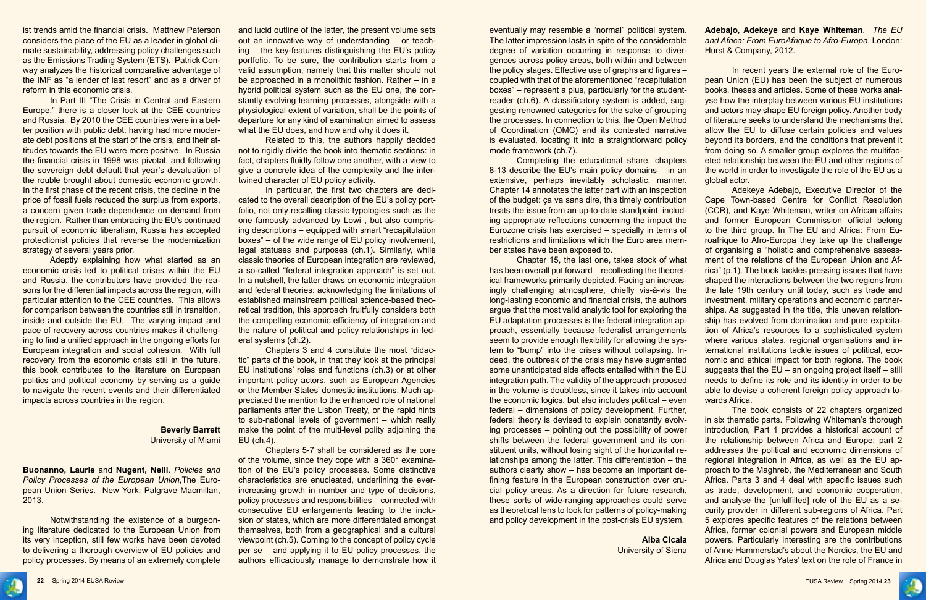

ist trends amid the financial crisis. Matthew Paterson considers the place of the EU as a leader in global climate sustainability, addressing policy challenges such as the Emissions Trading System (ETS). Patrick Conway analyzes the historical comparative advantage of the IMF as "a lender of last resort" and as a driver of reform in this economic crisis.

In Part III "The Crisis in Central and Eastern Europe," there is a closer look at the CEE countries and Russia. By 2010 the CEE countries were in a better position with public debt, having had more moderate debt positions at the start of the crisis, and their attitudes towards the EU were more positive. In Russia the financial crisis in 1998 was pivotal, and following the sovereign debt default that year's devaluation of the rouble brought about domestic economic growth. In the first phase of the recent crisis, the decline in the price of fossil fuels reduced the surplus from exports, a concern given trade dependence on demand from the region. Rather than embracing the EU's continued pursuit of economic liberalism, Russia has accepted protectionist policies that reverse the modernization strategy of several years prior.

and lucid outline of the latter, the present volume sets out an innovative way of understanding – or teaching – the key-features distinguishing the EU's policy portfolio. To be sure, the contribution starts from a valid assumption, namely that this matter should not be approached in a monolithic fashion. Rather – in a hybrid political system such as the EU one, the constantly evolving learning processes, alongside with a physiological extent of variation, shall be the points of departure for any kind of examination aimed to assess what the EU does, and how and why it does it.

Adeptly explaining how what started as an economic crisis led to political crises within the EU and Russia, the contributors have provided the reasons for the differential impacts across the region, with particular attention to the CEE countries. This allows for comparison between the countries still in transition, inside and outside the EU. The varying impact and pace of recovery across countries makes it challenging to find a unified approach in the ongoing efforts for European integration and social cohesion. With full recovery from the economic crisis still in the future, this book contributes to the literature on European politics and political economy by serving as a guide to navigate the recent events and their differentiated impacts across countries in the region.

#### **Beverly Barrett** University of Miami

**Buonanno, Laurie** and **Nugent, Neill**. *Policies and Policy Processes of the European Union*,The European Union Series. New York: Palgrave Macmillan, 2013.

Notwithstanding the existence of a burgeoning literature dedicated to the European Union from its very inception, still few works have been devoted to delivering a thorough overview of EU policies and policy processes. By means of an extremely complete

Related to this, the authors happily decided not to rigidly divide the book into thematic sections: in fact, chapters fluidly follow one another, with a view to give a concrete idea of the complexity and the intertwined character of EU policy activity.

In particular, the first two chapters are dedicated to the overall description of the EU's policy portfolio, not only recalling classic typologies such as the one famously advanced by Lowi , but also comprising descriptions – equipped with smart "recapitulation boxes" – of the wide range of EU policy involvement, legal statuses and purposes (ch.1). Similarly, while classic theories of European integration are reviewed, a so-called "federal integration approach" is set out. In a nutshell, the latter draws on economic integration and federal theories: acknowledging the limitations of established mainstream political science-based theoretical tradition, this approach fruitfully considers both the compelling economic efficiency of integration and the nature of political and policy relationships in federal systems (ch.2).

Chapters 3 and 4 constitute the most "didactic" parts of the book, in that they look at the principal EU institutions' roles and functions (ch.3) or at other important policy actors, such as European Agencies or the Member States' domestic institutions. Much appreciated the mention to the enhanced role of national parliaments after the Lisbon Treaty, or the rapid hints to sub-national levels of government – which really make the point of the multi-level polity adjoining the EU (ch.4).

Chapters 5-7 shall be considered as the core of the volume, since they cope with a 360° examination of the EU's policy processes. Some distinctive characteristics are enucleated, underlining the everincreasing growth in number and type of decisions, policy processes and responsibilities – connected with consecutive EU enlargements leading to the inclusion of states, which are more differentiated amongst themselves, both from a geographical and a cultural viewpoint (ch.5). Coming to the concept of policy cycle per se – and applying it to EU policy processes, the authors efficaciously manage to demonstrate how it

eventually may resemble a "normal" political system. The latter impression lasts in spite of the considerable degree of variation occurring in response to divergences across policy areas, both within and between the policy stages. Effective use of graphs and figures – coupled with that of the aforementioned "recapitulation boxes" – represent a plus, particularly for the studentreader (ch.6). A classificatory system is added, suggesting renowned categories for the sake of grouping the processes. In connection to this, the Open Method of Coordination (OMC) and its contested narrative is evaluated, locating it into a straightforward policy mode framework (ch.7). Completing the educational share, chapters 8-13 describe the EU's main policy domains – in an extensive, perhaps inevitably scholastic, manner. **Adebajo, Adekeye** and **Kaye Whiteman**. *The EU and Africa: From EuroAfrique to Afro-Europa*. London: Hurst & Company, 2012. In recent years the external role of the European Union (EU) has been the subject of numerous books, theses and articles. Some of these works analyse how the interplay between various EU institutions and actors may shape EU foreign policy. Another body of literature seeks to understand the mechanisms that allow the EU to diffuse certain policies and values beyond its borders, and the conditions that prevent it from doing so. A smaller group explores the multifaceted relationship between the EU and other regions of the world in order to investigate the role of the EU as a global actor.

Chapter 15, the last one, takes stock of what Adekeye Adebajo, Executive Director of the Cape Town-based Centre for Conflict Resolution (CCR), and Kaye Whiteman, writer on African affairs and former European Commission official belong to the third group. In The EU and Africa: From Euroafrique to Afro-Europa they take up the challenge of organising a "holistic and comprehensive assessment of the relations of the European Union and Africa" (p.1). The book tackles pressing issues that have shaped the interactions between the two regions from the late 19th century until today, such as trade and investment, military operations and economic partnerships. As suggested in the title, this uneven relationship has evolved from domination and pure exploitation of Africa's resources to a sophisticated system where various states, regional organisations and international institutions tackle issues of political, economic and ethical impact for both regions. The book suggests that the EU – an ongoing project itself – still needs to define its role and its identity in order to be able to devise a coherent foreign policy approach towards Africa.

Chapter 14 annotates the latter part with an inspection of the budget: ça va sans dire, this timely contribution treats the issue from an up-to-date standpoint, including appropriate reflections concerning the impact the Eurozone crisis has exercised – specially in terms of restrictions and limitations which the Euro area member states have been exposed to. has been overall put forward – recollecting the theoretical frameworks primarily depicted. Facing an increasingly challenging atmosphere, chiefly vis-à-vis the long-lasting economic and financial crisis, the authors argue that the most valid analytic tool for exploring the EU adaptation processes is the federal integration approach, essentially because federalist arrangements seem to provide enough flexibility for allowing the system to "bump" into the crises without collapsing. Indeed, the outbreak of the crisis may have augmented some unanticipated side effects entailed within the EU integration path. The validity of the approach proposed in the volume is doubtless, since it takes into account the economic logics, but also includes political – even federal – dimensions of policy development. Further, federal theory is devised to explain constantly evolving processes – pointing out the possibility of power shifts between the federal government and its constituent units, without losing sight of the horizontal relationships among the latter. This differentiation – the authors clearly show – has become an important defining feature in the European construction over crucial policy areas. As a direction for future research, these sorts of wide-ranging approaches could serve as theoretical lens to look for patterns of policy-making and policy development in the post-crisis EU system. **Alba Cicala** University of Siena The book consists of 22 chapters organized in six thematic parts. Following Whiteman's thorough introduction, Part 1 provides a historical account of the relationship between Africa and Europe; part 2 addresses the political and economic dimensions of regional integration in Africa, as well as the EU approach to the Maghreb, the Mediterranean and South Africa. Parts 3 and 4 deal with specific issues such as trade, development, and economic cooperation, and analyse the [unfulfilled] role of the EU as a security provider in different sub-regions of Africa. Part 5 explores specific features of the relations between Africa, former colonial powers and European middle powers. Particularly interesting are the contributions of Anne Hammerstad's about the Nordics, the EU and Africa and Douglas Yates' text on the role of France in

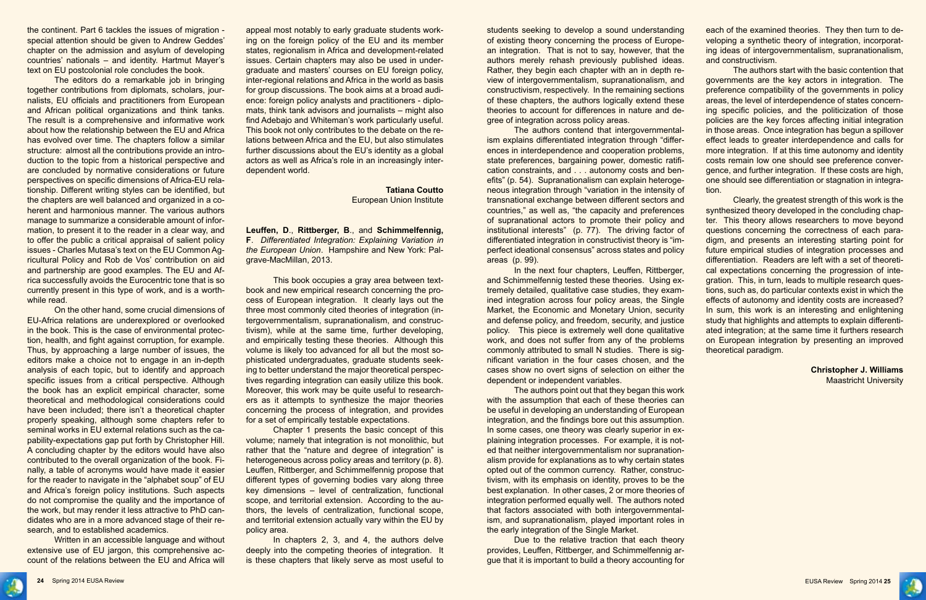

the continent. Part 6 tackles the issues of migration special attention should be given to Andrew Geddes' chapter on the admission and asylum of developing countries' nationals – and identity. Hartmut Mayer's text on EU postcolonial role concludes the book.

The editors do a remarkable job in bringing together contributions from diplomats, scholars, journalists, EU officials and practitioners from European and African political organizations and think tanks. The result is a comprehensive and informative work about how the relationship between the EU and Africa has evolved over time. The chapters follow a similar structure: almost all the contributions provide an introduction to the topic from a historical perspective and are concluded by normative considerations or future perspectives on specific dimensions of Africa-EU relationship. Different writing styles can be identified, but the chapters are well balanced and organized in a coherent and harmonious manner. The various authors manage to summarize a considerable amount of information, to present it to the reader in a clear way, and to offer the public a critical appraisal of salient policy issues - Charles Mutasa's text on the EU Common Agricultural Policy and Rob de Vos' contribution on aid and partnership are good examples. The EU and Africa successfully avoids the Eurocentric tone that is so currently present in this type of work, and is a worthwhile read.

On the other hand, some crucial dimensions of EU-Africa relations are underexplored or overlooked in the book. This is the case of environmental protection, health, and fight against corruption, for example. Thus, by approaching a large number of issues, the editors make a choice not to engage in an in-depth analysis of each topic, but to identify and approach specific issues from a critical perspective. Although the book has an explicit empirical character, some theoretical and methodological considerations could have been included; there isn't a theoretical chapter properly speaking, although some chapters refer to seminal works in EU external relations such as the capability-expectations gap put forth by Christopher Hill. A concluding chapter by the editors would have also contributed to the overall organization of the book. Finally, a table of acronyms would have made it easier for the reader to navigate in the "alphabet soup" of EU and Africa's foreign policy institutions. Such aspects do not compromise the quality and the importance of the work, but may render it less attractive to PhD candidates who are in a more advanced stage of their research, and to established academics.

Written in an accessible language and without extensive use of EU jargon, this comprehensive account of the relations between the EU and Africa will

appeal most notably to early graduate students working on the foreign policy of the EU and its member states, regionalism in Africa and development-related issues. Certain chapters may also be used in undergraduate and masters' courses on EU foreign policy, inter-regional relations and Africa in the world as basis for group discussions. The book aims at a broad audience: foreign policy analysts and practitioners - diplomats, think tank advisors and journalists – might also find Adebajo and Whiteman's work particularly useful. This book not only contributes to the debate on the relations between Africa and the EU, but also stimulates further discussions about the EU's identity as a global actors as well as Africa's role in an increasingly interdependent world.

> **Tatiana Coutto** European Union Institute

**Leuffen, D**., **Rittberger, B**., and **Schimmelfennig, F**. *Differentiated Integration: Explaining Variation in the European Union*. Hampshire and New York: Palgrave-MacMillan, 2013.

> Due to the relative traction that each theory provides, Leuffen, Rittberger, and Schimmelfennig argue that it is important to build a theory accounting for

This book occupies a gray area between textbook and new empirical research concerning the process of European integration. It clearly lays out the three most commonly cited theories of integration (intergovernmentalism, supranationalism, and constructivism), while at the same time, further developing, and empirically testing these theories. Although this volume is likely too advanced for all but the most sophisticated undergraduates, graduate students seeking to better understand the major theoretical perspectives regarding integration can easily utilize this book. Moreover, this work may be quite useful to researchers as it attempts to synthesize the major theories concerning the process of integration, and provides for a set of empirically testable expectations.

Chapter 1 presents the basic concept of this volume; namely that integration is not monolithic, but rather that the "nature and degree of integration" is heterogeneous across policy areas and territory (p. 8). Leuffen, Rittberger, and Schimmelfennig propose that different types of governing bodies vary along three key dimensions – level of centralization, functional scope, and territorial extension. According to the authors, the levels of centralization, functional scope, and territorial extension actually vary within the EU by policy area.

In chapters 2, 3, and 4, the authors delve deeply into the competing theories of integration. It is these chapters that likely serve as most useful to

students seeking to develop a sound understanding of existing theory concerning the process of European integration. That is not to say, however, that the authors merely rehash previously published ideas. Rather, they begin each chapter with an in depth review of intergovernmentalism, supranationalism, and constructivism, respectively. In the remaining sections of these chapters, the authors logically extend these theories to account for differences in nature and degree of integration across policy areas.

The authors contend that intergovernmentalism explains differentiated integration through "differences in interdependence and cooperation problems, state preferences, bargaining power, domestic ratification constraints, and . . . autonomy costs and benefits" (p. 54). Supranationalism can explain heterogeneous integration through "variation in the intensity of transnational exchange between different sectors and countries," as well as, "the capacity and preferences of supranational actors to promote their policy and institutional interests" (p. 77). The driving factor of differentiated integration in constructivist theory is "imperfect ideational consensus" across states and policy areas (p. 99).

In the next four chapters, Leuffen, Rittberger, and Schimmelfennig tested these theories. Using extremely detailed, qualitative case studies, they examined integration across four policy areas, the Single Market, the Economic and Monetary Union, security and defense policy, and freedom, security, and justice policy. This piece is extremely well done qualitative work, and does not suffer from any of the problems commonly attributed to small N studies. There is significant variation in the four cases chosen, and the cases show no overt signs of selection on either the dependent or independent variables.

The authors point out that they began this work with the assumption that each of these theories can be useful in developing an understanding of European integration, and the findings bore out this assumption. In some cases, one theory was clearly superior in explaining integration processes. For example, it is noted that neither intergovernmentalism nor supranationalism provide for explanations as to why certain states opted out of the common currency. Rather, constructivism, with its emphasis on identity, proves to be the best explanation. In other cases, 2 or more theories of integration performed equally well. The authors noted that factors associated with both intergovernmentalism, and supranationalism, played important roles in the early integration of the Single Market.

each of the examined theories. They then turn to developing a synthetic theory of integration, incorporating ideas of intergovernmentalism, supranationalism, and constructivism.

The authors start with the basic contention that governments are the key actors in integration. The preference compatibility of the governments in policy areas, the level of interdependence of states concerning specific policies, and the politicization of those policies are the key forces affecting initial integration in those areas. Once integration has begun a spillover effect leads to greater interdependence and calls for more integration. If at this time autonomy and identity costs remain low one should see preference convergence, and further integration. If these costs are high, one should see differentiation or stagnation in integration.

Clearly, the greatest strength of this work is the synthesized theory developed in the concluding chapter. This theory allows researchers to move beyond questions concerning the correctness of each paradigm, and presents an interesting starting point for future empirical studies of integration processes and differentiation. Readers are left with a set of theoretical expectations concerning the progression of integration. This, in turn, leads to multiple research questions, such as, do particular contexts exist in which the effects of autonomy and identity costs are increased? In sum, this work is an interesting and enlightening study that highlights and attempts to explain differentiated integration; at the same time it furthers research on European integration by presenting an improved theoretical paradigm.

#### **Christopher J. Williams** Maastricht University